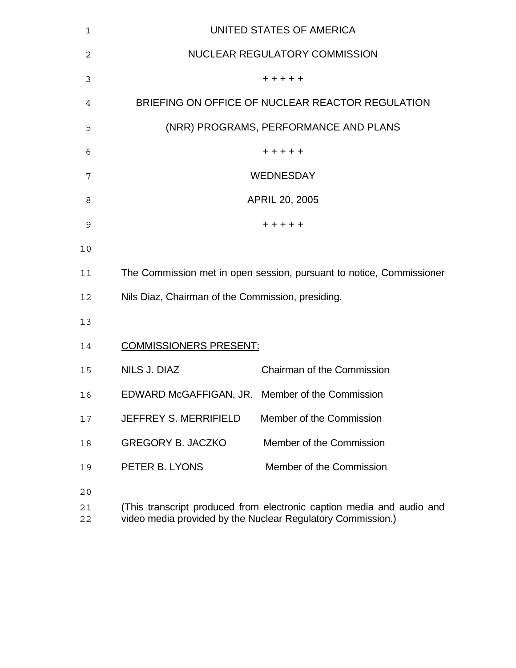| 1              |                                                   | UNITED STATES OF AMERICA                                                                                                             |
|----------------|---------------------------------------------------|--------------------------------------------------------------------------------------------------------------------------------------|
| $\overline{2}$ |                                                   | NUCLEAR REGULATORY COMMISSION                                                                                                        |
| 3              |                                                   | + + + + +                                                                                                                            |
| 4              |                                                   | BRIEFING ON OFFICE OF NUCLEAR REACTOR REGULATION                                                                                     |
| 5              |                                                   | (NRR) PROGRAMS, PERFORMANCE AND PLANS                                                                                                |
| 6              |                                                   | + + + + +                                                                                                                            |
| 7              |                                                   | <b>WEDNESDAY</b>                                                                                                                     |
| 8              |                                                   | APRIL 20, 2005                                                                                                                       |
| 9              |                                                   | +++++                                                                                                                                |
| 10             |                                                   |                                                                                                                                      |
| 11             |                                                   | The Commission met in open session, pursuant to notice, Commissioner                                                                 |
| 12             | Nils Diaz, Chairman of the Commission, presiding. |                                                                                                                                      |
| 13             |                                                   |                                                                                                                                      |
| 14             | <b>COMMISSIONERS PRESENT:</b>                     |                                                                                                                                      |
| 15             | NILS J. DIAZ                                      | Chairman of the Commission                                                                                                           |
| 16             | EDWARD McGAFFIGAN, JR. Member of the Commission   |                                                                                                                                      |
| 17             | <b>JEFFREY S. MERRIFIELD</b>                      | Member of the Commission                                                                                                             |
| 18             | <b>GREGORY B. JACZKO</b>                          | Member of the Commission                                                                                                             |
| 19             | PETER B. LYONS                                    | Member of the Commission                                                                                                             |
| 20<br>21<br>22 |                                                   | (This transcript produced from electronic caption media and audio and<br>video media provided by the Nuclear Regulatory Commission.) |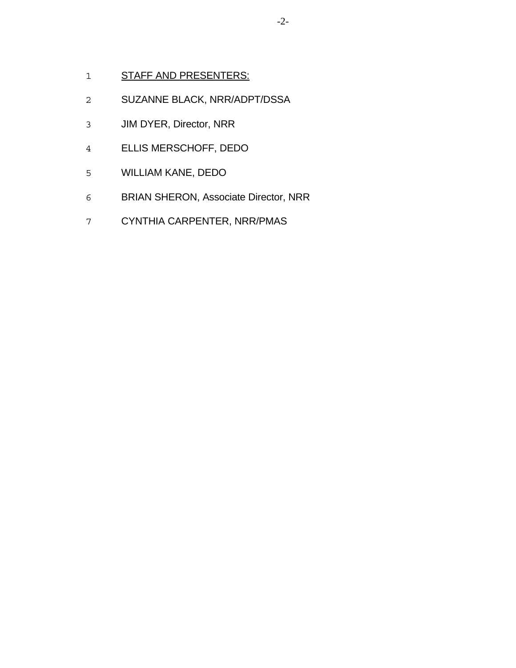- 1 STAFF AND PRESENTERS:
- SUZANNE BLACK, NRR/ADPT/DSSA
- JIM DYER, Director, NRR
- ELLIS MERSCHOFF, DEDO
- WILLIAM KANE, DEDO
- BRIAN SHERON, Associate Director, NRR
- CYNTHIA CARPENTER, NRR/PMAS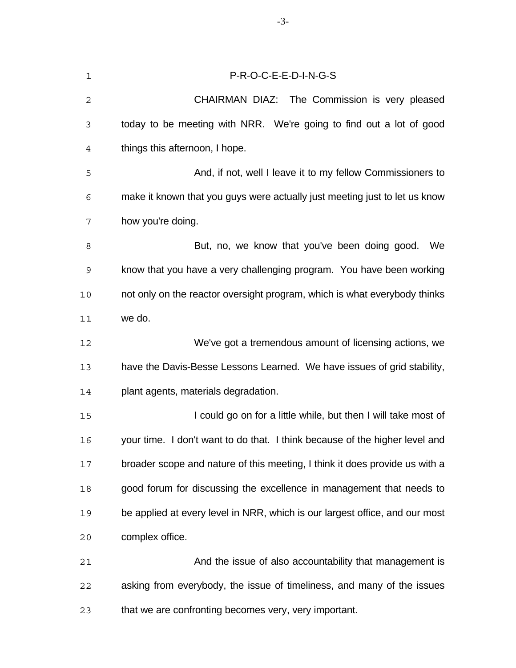| $\mathbf 1$    | P-R-O-C-E-E-D-I-N-G-S                                                       |
|----------------|-----------------------------------------------------------------------------|
| 2              | CHAIRMAN DIAZ: The Commission is very pleased                               |
| 3              | today to be meeting with NRR. We're going to find out a lot of good         |
| $\overline{4}$ | things this afternoon, I hope.                                              |
| 5              | And, if not, well I leave it to my fellow Commissioners to                  |
| 6              | make it known that you guys were actually just meeting just to let us know  |
| 7              | how you're doing.                                                           |
| 8              | But, no, we know that you've been doing good. We                            |
| $\mathsf 9$    | know that you have a very challenging program. You have been working        |
| 10             | not only on the reactor oversight program, which is what everybody thinks   |
| 11             | we do.                                                                      |
| 12             | We've got a tremendous amount of licensing actions, we                      |
| 13             | have the Davis-Besse Lessons Learned. We have issues of grid stability,     |
| 14             | plant agents, materials degradation.                                        |
| 15             | I could go on for a little while, but then I will take most of              |
| 16             | your time. I don't want to do that. I think because of the higher level and |
| 17             | broader scope and nature of this meeting, I think it does provide us with a |
| 18             | good forum for discussing the excellence in management that needs to        |
| 19             | be applied at every level in NRR, which is our largest office, and our most |
| 20             | complex office.                                                             |
| 21             | And the issue of also accountability that management is                     |
| 22             | asking from everybody, the issue of timeliness, and many of the issues      |
| 23             | that we are confronting becomes very, very important.                       |

-3-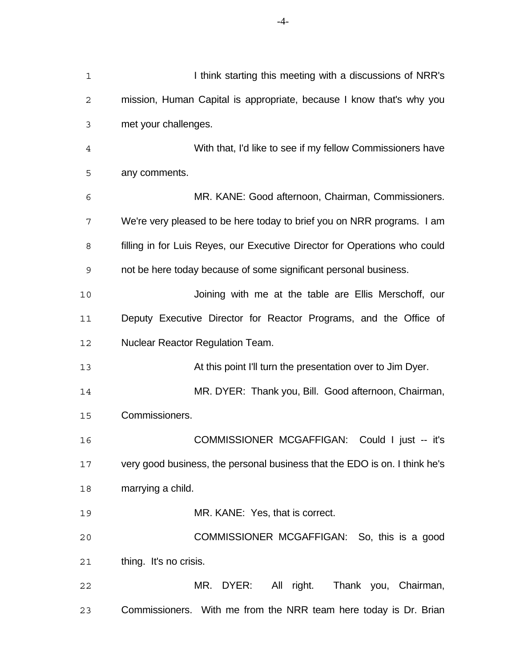| $\mathbf 1$    | I think starting this meeting with a discussions of NRR's                  |
|----------------|----------------------------------------------------------------------------|
| 2              | mission, Human Capital is appropriate, because I know that's why you       |
| 3              | met your challenges.                                                       |
| $\overline{4}$ | With that, I'd like to see if my fellow Commissioners have                 |
| 5              | any comments.                                                              |
| 6              | MR. KANE: Good afternoon, Chairman, Commissioners.                         |
| 7              | We're very pleased to be here today to brief you on NRR programs. I am     |
| 8              | filling in for Luis Reyes, our Executive Director for Operations who could |
| 9              | not be here today because of some significant personal business.           |
| 10             | Joining with me at the table are Ellis Merschoff, our                      |
| 11             | Deputy Executive Director for Reactor Programs, and the Office of          |
| 12             | <b>Nuclear Reactor Regulation Team.</b>                                    |
| 13             | At this point I'll turn the presentation over to Jim Dyer.                 |
| 14             | MR. DYER: Thank you, Bill. Good afternoon, Chairman,                       |
| 15             | Commissioners.                                                             |
| 16             | <b>COMMISSIONER MCGAFFIGAN:</b><br>Could I just -- it's                    |
| 17             | very good business, the personal business that the EDO is on. I think he's |
| 18             | marrying a child.                                                          |
| 19             | MR. KANE: Yes, that is correct.                                            |
| 20             | COMMISSIONER MCGAFFIGAN: So, this is a good                                |
| 21             | thing. It's no crisis.                                                     |
| 22             | All right.<br>MR. DYER:<br>Thank you, Chairman,                            |
| 23             | Commissioners. With me from the NRR team here today is Dr. Brian           |

-4-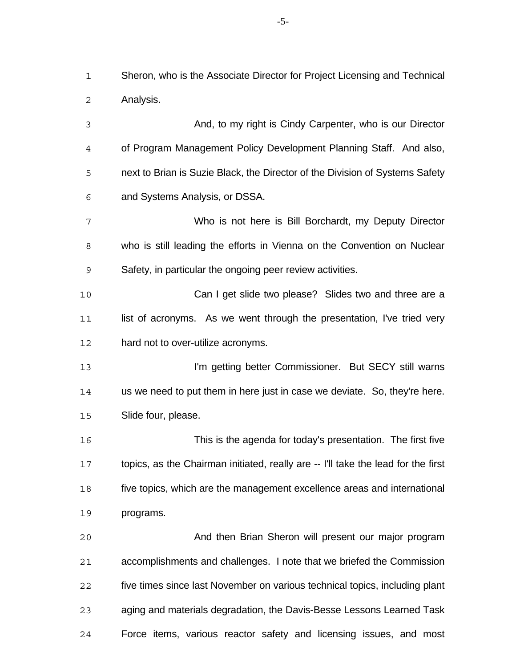Sheron, who is the Associate Director for Project Licensing and Technical Analysis.

 And, to my right is Cindy Carpenter, who is our Director of Program Management Policy Development Planning Staff. And also, next to Brian is Suzie Black, the Director of the Division of Systems Safety and Systems Analysis, or DSSA. Who is not here is Bill Borchardt, my Deputy Director who is still leading the efforts in Vienna on the Convention on Nuclear Safety, in particular the ongoing peer review activities. Can I get slide two please? Slides two and three are a

11 list of acronyms. As we went through the presentation, I've tried very hard not to over-utilize acronyms.

**I'm getting better Commissioner.** But SECY still warns us we need to put them in here just in case we deviate. So, they're here. Slide four, please.

 This is the agenda for today's presentation. The first five topics, as the Chairman initiated, really are -- I'll take the lead for the first five topics, which are the management excellence areas and international programs.

 And then Brian Sheron will present our major program accomplishments and challenges. I note that we briefed the Commission five times since last November on various technical topics, including plant aging and materials degradation, the Davis-Besse Lessons Learned Task Force items, various reactor safety and licensing issues, and most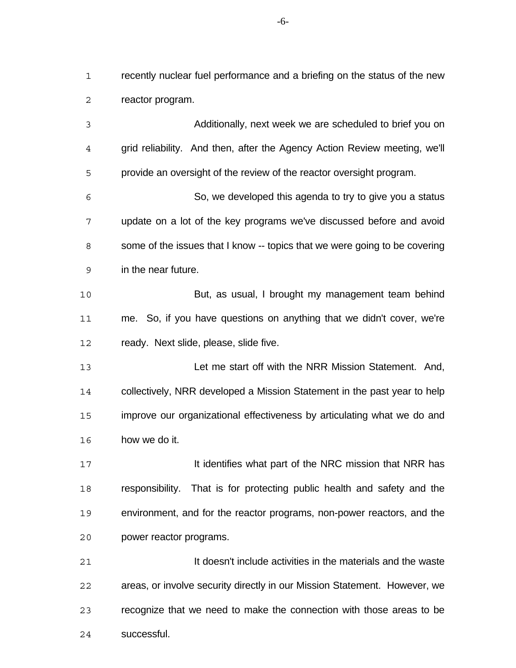recently nuclear fuel performance and a briefing on the status of the new reactor program.

 Additionally, next week we are scheduled to brief you on grid reliability. And then, after the Agency Action Review meeting, we'll provide an oversight of the review of the reactor oversight program. So, we developed this agenda to try to give you a status update on a lot of the key programs we've discussed before and avoid 8 some of the issues that I know -- topics that we were going to be covering in the near future. But, as usual, I brought my management team behind me. So, if you have questions on anything that we didn't cover, we're ready. Next slide, please, slide five. Let me start off with the NRR Mission Statement. And, collectively, NRR developed a Mission Statement in the past year to help improve our organizational effectiveness by articulating what we do and how we do it. **It identifies what part of the NRC mission that NRR has**  responsibility. That is for protecting public health and safety and the environment, and for the reactor programs, non-power reactors, and the power reactor programs. It doesn't include activities in the materials and the waste areas, or involve security directly in our Mission Statement. However, we recognize that we need to make the connection with those areas to be

successful.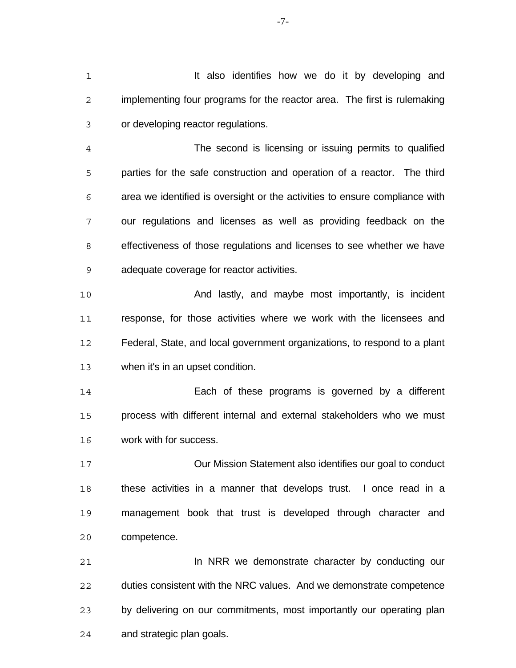**It also identifies how we do it by developing and**  implementing four programs for the reactor area. The first is rulemaking or developing reactor regulations.

 The second is licensing or issuing permits to qualified parties for the safe construction and operation of a reactor. The third area we identified is oversight or the activities to ensure compliance with our regulations and licenses as well as providing feedback on the effectiveness of those regulations and licenses to see whether we have adequate coverage for reactor activities.

 And lastly, and maybe most importantly, is incident response, for those activities where we work with the licensees and Federal, State, and local government organizations, to respond to a plant when it's in an upset condition.

 Each of these programs is governed by a different process with different internal and external stakeholders who we must work with for success.

 Our Mission Statement also identifies our goal to conduct these activities in a manner that develops trust. I once read in a management book that trust is developed through character and competence.

 In NRR we demonstrate character by conducting our duties consistent with the NRC values. And we demonstrate competence by delivering on our commitments, most importantly our operating plan and strategic plan goals.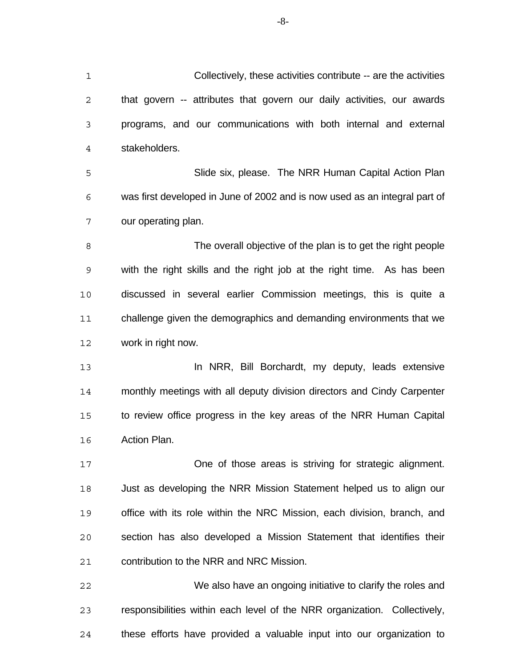Collectively, these activities contribute -- are the activities that govern -- attributes that govern our daily activities, our awards programs, and our communications with both internal and external stakeholders. Slide six, please. The NRR Human Capital Action Plan was first developed in June of 2002 and is now used as an integral part of our operating plan. The overall objective of the plan is to get the right people with the right skills and the right job at the right time. As has been discussed in several earlier Commission meetings, this is quite a challenge given the demographics and demanding environments that we work in right now. **In NRR, Bill Borchardt, my deputy, leads extensive**  monthly meetings with all deputy division directors and Cindy Carpenter to review office progress in the key areas of the NRR Human Capital Action Plan. One of those areas is striving for strategic alignment. Just as developing the NRR Mission Statement helped us to align our office with its role within the NRC Mission, each division, branch, and section has also developed a Mission Statement that identifies their contribution to the NRR and NRC Mission. We also have an ongoing initiative to clarify the roles and responsibilities within each level of the NRR organization. Collectively,

these efforts have provided a valuable input into our organization to

-8-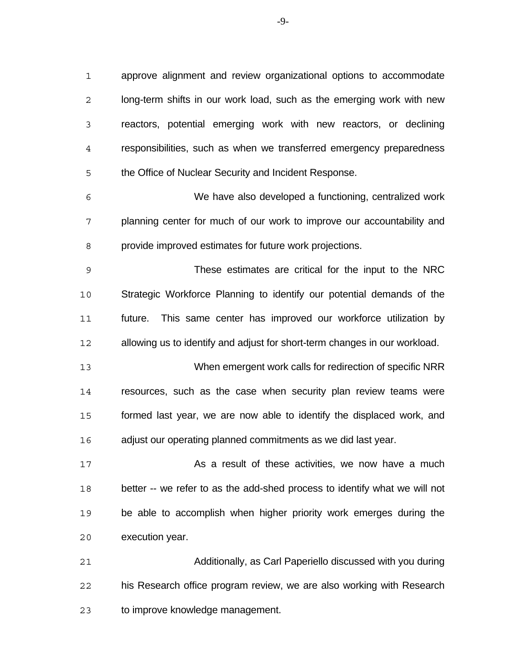approve alignment and review organizational options to accommodate long-term shifts in our work load, such as the emerging work with new reactors, potential emerging work with new reactors, or declining responsibilities, such as when we transferred emergency preparedness the Office of Nuclear Security and Incident Response.

 We have also developed a functioning, centralized work planning center for much of our work to improve our accountability and provide improved estimates for future work projections.

 These estimates are critical for the input to the NRC Strategic Workforce Planning to identify our potential demands of the future. This same center has improved our workforce utilization by allowing us to identify and adjust for short-term changes in our workload.

 When emergent work calls for redirection of specific NRR resources, such as the case when security plan review teams were formed last year, we are now able to identify the displaced work, and adjust our operating planned commitments as we did last year.

**As a result of these activities, we now have a much 17**  better -- we refer to as the add-shed process to identify what we will not be able to accomplish when higher priority work emerges during the execution year.

 Additionally, as Carl Paperiello discussed with you during his Research office program review, we are also working with Research to improve knowledge management.

-9-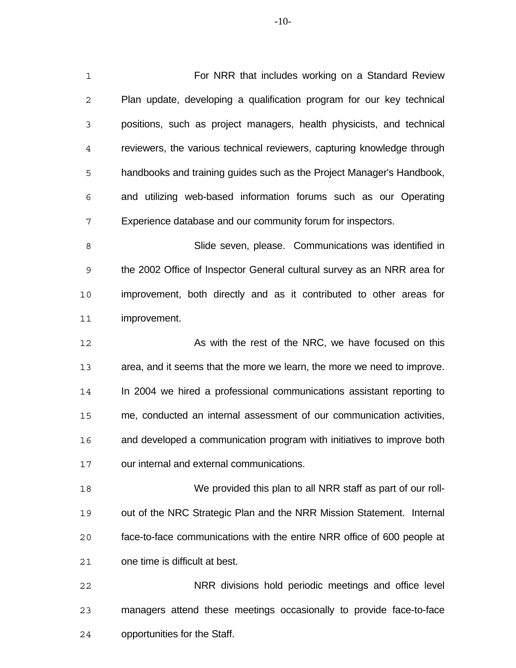For NRR that includes working on a Standard Review Plan update, developing a qualification program for our key technical positions, such as project managers, health physicists, and technical reviewers, the various technical reviewers, capturing knowledge through handbooks and training guides such as the Project Manager's Handbook, and utilizing web-based information forums such as our Operating Experience database and our community forum for inspectors.

 Slide seven, please. Communications was identified in the 2002 Office of Inspector General cultural survey as an NRR area for improvement, both directly and as it contributed to other areas for improvement.

12 As with the rest of the NRC, we have focused on this area, and it seems that the more we learn, the more we need to improve. In 2004 we hired a professional communications assistant reporting to me, conducted an internal assessment of our communication activities, and developed a communication program with initiatives to improve both our internal and external communications.

 We provided this plan to all NRR staff as part of our roll- out of the NRC Strategic Plan and the NRR Mission Statement. Internal face-to-face communications with the entire NRR office of 600 people at one time is difficult at best.

 NRR divisions hold periodic meetings and office level managers attend these meetings occasionally to provide face-to-face opportunities for the Staff.

-10-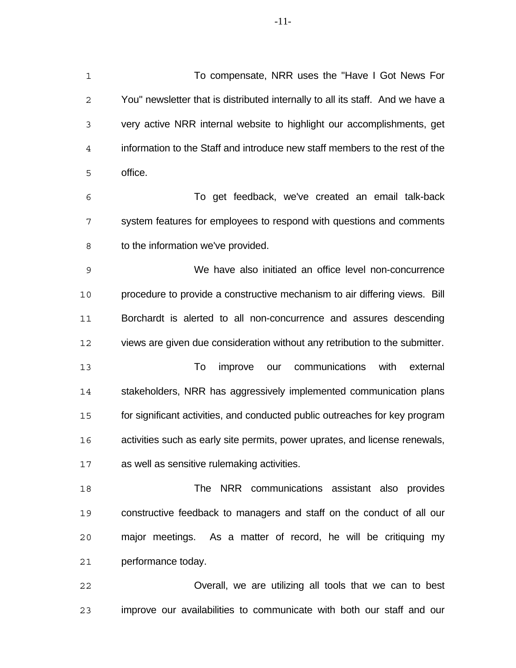-11-

 To compensate, NRR uses the "Have I Got News For You" newsletter that is distributed internally to all its staff. And we have a very active NRR internal website to highlight our accomplishments, get information to the Staff and introduce new staff members to the rest of the office.

 To get feedback, we've created an email talk-back system features for employees to respond with questions and comments 8 to the information we've provided.

 We have also initiated an office level non-concurrence procedure to provide a constructive mechanism to air differing views. Bill Borchardt is alerted to all non-concurrence and assures descending views are given due consideration without any retribution to the submitter.

 To improve our communications with external stakeholders, NRR has aggressively implemented communication plans for significant activities, and conducted public outreaches for key program activities such as early site permits, power uprates, and license renewals, as well as sensitive rulemaking activities.

 The NRR communications assistant also provides constructive feedback to managers and staff on the conduct of all our major meetings. As a matter of record, he will be critiquing my performance today.

 Overall, we are utilizing all tools that we can to best improve our availabilities to communicate with both our staff and our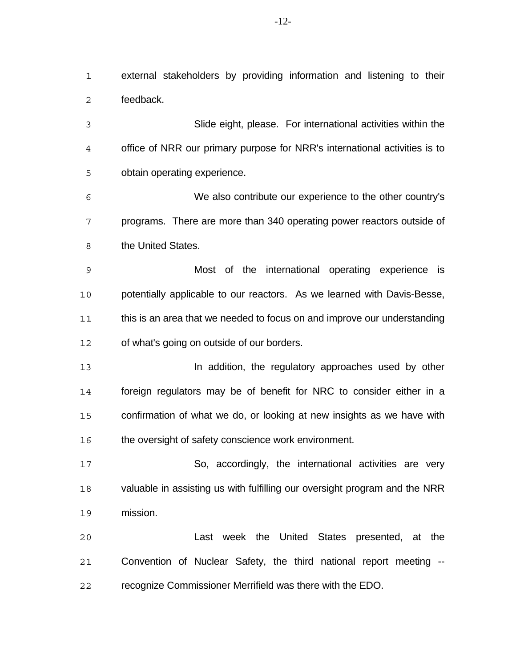external stakeholders by providing information and listening to their feedback.

 Slide eight, please. For international activities within the office of NRR our primary purpose for NRR's international activities is to obtain operating experience.

 We also contribute our experience to the other country's programs. There are more than 340 operating power reactors outside of 8 the United States.

 Most of the international operating experience is potentially applicable to our reactors. As we learned with Davis-Besse, this is an area that we needed to focus on and improve our understanding of what's going on outside of our borders.

 In addition, the regulatory approaches used by other foreign regulators may be of benefit for NRC to consider either in a confirmation of what we do, or looking at new insights as we have with 16 the oversight of safety conscience work environment.

 So, accordingly, the international activities are very valuable in assisting us with fulfilling our oversight program and the NRR mission.

 Last week the United States presented, at the Convention of Nuclear Safety, the third national report meeting -- recognize Commissioner Merrifield was there with the EDO.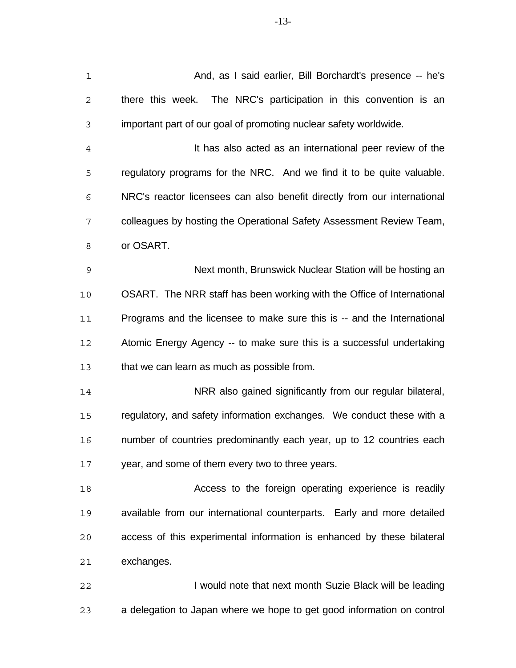| $\mathbf 1$    | And, as I said earlier, Bill Borchardt's presence -- he's                |
|----------------|--------------------------------------------------------------------------|
| $\mathbf 2$    | there this week. The NRC's participation in this convention is an        |
| 3              | important part of our goal of promoting nuclear safety worldwide.        |
| $\overline{4}$ | It has also acted as an international peer review of the                 |
| 5              | regulatory programs for the NRC. And we find it to be quite valuable.    |
| 6              | NRC's reactor licensees can also benefit directly from our international |
| 7              | colleagues by hosting the Operational Safety Assessment Review Team,     |
| 8              | or OSART.                                                                |
| $\mathsf 9$    | Next month, Brunswick Nuclear Station will be hosting an                 |
| 10             | OSART. The NRR staff has been working with the Office of International   |
| 11             | Programs and the licensee to make sure this is -- and the International  |
| 12             | Atomic Energy Agency -- to make sure this is a successful undertaking    |
| 13             | that we can learn as much as possible from.                              |
| 14             | NRR also gained significantly from our regular bilateral,                |
| 15             | regulatory, and safety information exchanges. We conduct these with a    |
| 16             | number of countries predominantly each year, up to 12 countries each     |
| 17             | year, and some of them every two to three years.                         |
| 18             | Access to the foreign operating experience is readily                    |
| 19             | available from our international counterparts. Early and more detailed   |
| 20             | access of this experimental information is enhanced by these bilateral   |
| 21             | exchanges.                                                               |
| 22             | I would note that next month Suzie Black will be leading                 |
|                |                                                                          |

a delegation to Japan where we hope to get good information on control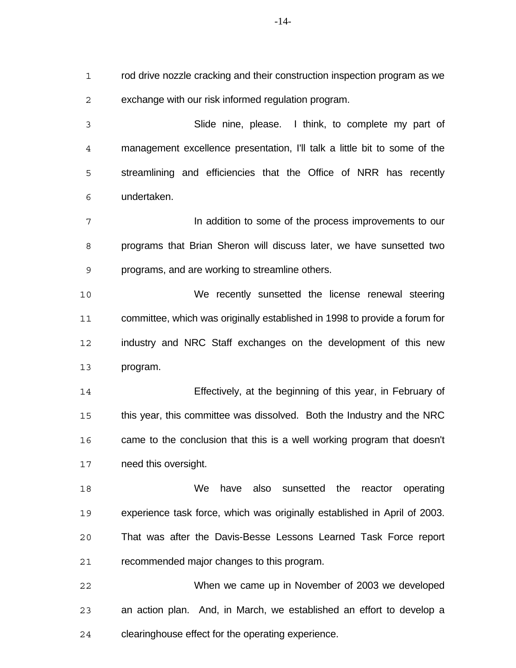rod drive nozzle cracking and their construction inspection program as we exchange with our risk informed regulation program.

 Slide nine, please. I think, to complete my part of management excellence presentation, I'll talk a little bit to some of the streamlining and efficiencies that the Office of NRR has recently undertaken.

 In addition to some of the process improvements to our programs that Brian Sheron will discuss later, we have sunsetted two programs, and are working to streamline others.

 We recently sunsetted the license renewal steering committee, which was originally established in 1998 to provide a forum for industry and NRC Staff exchanges on the development of this new program.

 Effectively, at the beginning of this year, in February of this year, this committee was dissolved. Both the Industry and the NRC came to the conclusion that this is a well working program that doesn't need this oversight.

 We have also sunsetted the reactor operating experience task force, which was originally established in April of 2003. That was after the Davis-Besse Lessons Learned Task Force report recommended major changes to this program.

 When we came up in November of 2003 we developed an action plan. And, in March, we established an effort to develop a clearinghouse effect for the operating experience.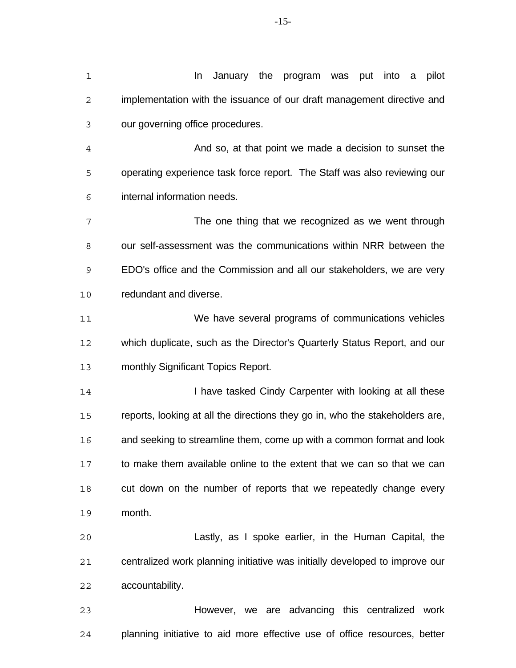| 1  | January the program was put<br>pilot<br>In<br>into<br>a                      |
|----|------------------------------------------------------------------------------|
| 2  | implementation with the issuance of our draft management directive and       |
| 3  | our governing office procedures.                                             |
| 4  | And so, at that point we made a decision to sunset the                       |
| 5  | operating experience task force report. The Staff was also reviewing our     |
| 6  | internal information needs.                                                  |
| 7  | The one thing that we recognized as we went through                          |
| 8  | our self-assessment was the communications within NRR between the            |
| 9  | EDO's office and the Commission and all our stakeholders, we are very        |
| 10 | redundant and diverse.                                                       |
| 11 | We have several programs of communications vehicles                          |
| 12 | which duplicate, such as the Director's Quarterly Status Report, and our     |
| 13 | monthly Significant Topics Report.                                           |
| 14 | I have tasked Cindy Carpenter with looking at all these                      |
| 15 | reports, looking at all the directions they go in, who the stakeholders are, |
| 16 | and seeking to streamline them, come up with a common format and look        |
| 17 | to make them available online to the extent that we can so that we can       |
| 18 | cut down on the number of reports that we repeatedly change every            |
| 19 | month.                                                                       |
| 20 | Lastly, as I spoke earlier, in the Human Capital, the                        |
| 21 | centralized work planning initiative was initially developed to improve our  |
| 22 | accountability.                                                              |
| 23 | However, we are advancing this centralized work                              |
| 24 | planning initiative to aid more effective use of office resources, better    |

-15-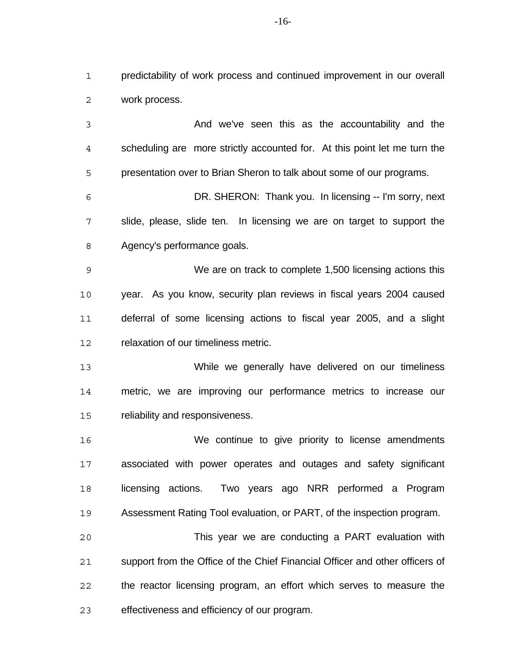predictability of work process and continued improvement in our overall work process.

 And we've seen this as the accountability and the scheduling are more strictly accounted for. At this point let me turn the presentation over to Brian Sheron to talk about some of our programs. DR. SHERON: Thank you. In licensing -- I'm sorry, next slide, please, slide ten. In licensing we are on target to support the Agency's performance goals. We are on track to complete 1,500 licensing actions this year. As you know, security plan reviews in fiscal years 2004 caused deferral of some licensing actions to fiscal year 2005, and a slight relaxation of our timeliness metric. While we generally have delivered on our timeliness metric, we are improving our performance metrics to increase our reliability and responsiveness. We continue to give priority to license amendments associated with power operates and outages and safety significant licensing actions. Two years ago NRR performed a Program Assessment Rating Tool evaluation, or PART, of the inspection program. This year we are conducting a PART evaluation with

 support from the Office of the Chief Financial Officer and other officers of the reactor licensing program, an effort which serves to measure the effectiveness and efficiency of our program.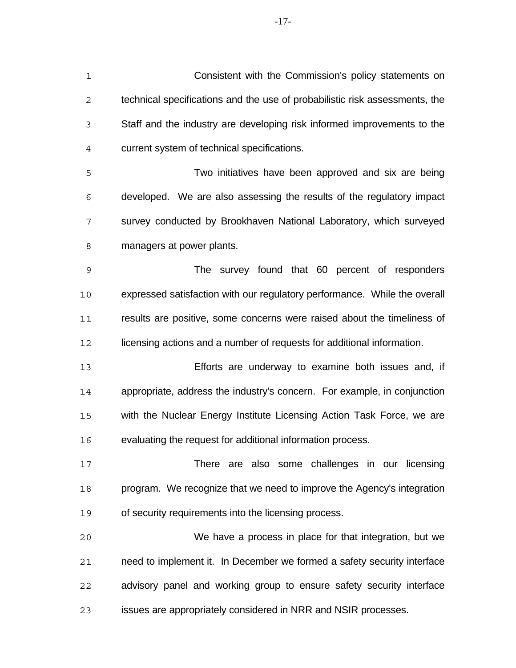Consistent with the Commission's policy statements on technical specifications and the use of probabilistic risk assessments, the Staff and the industry are developing risk informed improvements to the current system of technical specifications.

 Two initiatives have been approved and six are being developed. We are also assessing the results of the regulatory impact survey conducted by Brookhaven National Laboratory, which surveyed managers at power plants.

 The survey found that 60 percent of responders expressed satisfaction with our regulatory performance. While the overall results are positive, some concerns were raised about the timeliness of 12 licensing actions and a number of requests for additional information.

 Efforts are underway to examine both issues and, if appropriate, address the industry's concern. For example, in conjunction with the Nuclear Energy Institute Licensing Action Task Force, we are evaluating the request for additional information process.

 There are also some challenges in our licensing program. We recognize that we need to improve the Agency's integration of security requirements into the licensing process.

 We have a process in place for that integration, but we need to implement it. In December we formed a safety security interface advisory panel and working group to ensure safety security interface issues are appropriately considered in NRR and NSIR processes.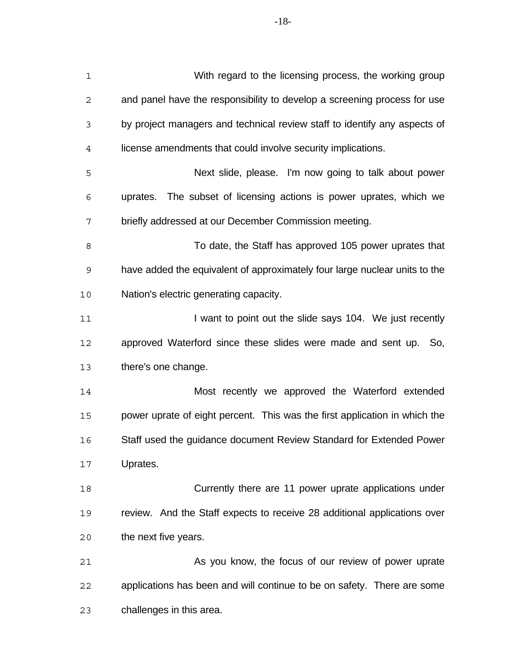| $\mathbf 1$    | With regard to the licensing process, the working group                    |
|----------------|----------------------------------------------------------------------------|
| 2              | and panel have the responsibility to develop a screening process for use   |
| 3              | by project managers and technical review staff to identify any aspects of  |
| $\overline{4}$ | license amendments that could involve security implications.               |
| 5              | Next slide, please. I'm now going to talk about power                      |
| 6              | uprates. The subset of licensing actions is power uprates, which we        |
| 7              | briefly addressed at our December Commission meeting.                      |
| 8              | To date, the Staff has approved 105 power uprates that                     |
| $\mathsf 9$    | have added the equivalent of approximately four large nuclear units to the |
| 10             | Nation's electric generating capacity.                                     |
| 11             | I want to point out the slide says 104. We just recently                   |
| 12             | approved Waterford since these slides were made and sent up. So,           |
| 13             | there's one change.                                                        |
| 14             | Most recently we approved the Waterford extended                           |
| 15             | power uprate of eight percent. This was the first application in which the |
| 16             | Staff used the guidance document Review Standard for Extended Power        |
| 17             | Uprates.                                                                   |
| 18             | Currently there are 11 power uprate applications under                     |
| 19             | review. And the Staff expects to receive 28 additional applications over   |
| 20             | the next five years.                                                       |
| 21             | As you know, the focus of our review of power uprate                       |
| 22             | applications has been and will continue to be on safety. There are some    |
| 23             | challenges in this area.                                                   |

-18-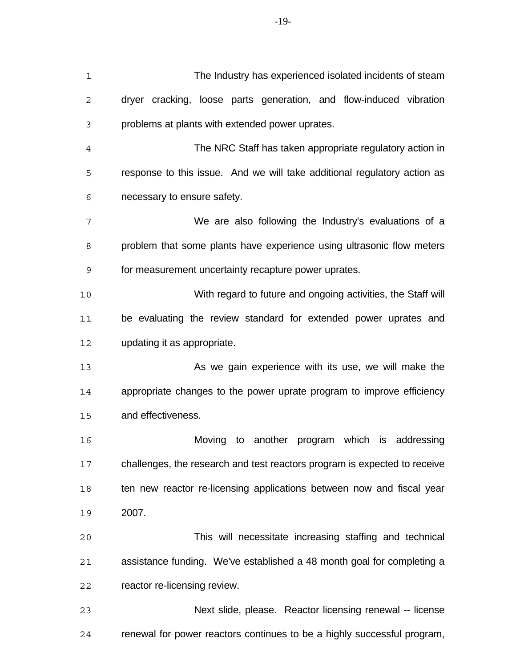| 1    | The Industry has experienced isolated incidents of steam                  |
|------|---------------------------------------------------------------------------|
| 2    | dryer cracking, loose parts generation, and flow-induced vibration        |
| 3    | problems at plants with extended power uprates.                           |
| 4    | The NRC Staff has taken appropriate regulatory action in                  |
| 5    | response to this issue. And we will take additional regulatory action as  |
| 6    | necessary to ensure safety.                                               |
| 7    | We are also following the Industry's evaluations of a                     |
| 8    | problem that some plants have experience using ultrasonic flow meters     |
| 9    | for measurement uncertainty recapture power uprates.                      |
| $10$ | With regard to future and ongoing activities, the Staff will              |
| 11   | be evaluating the review standard for extended power uprates and          |
| 12   | updating it as appropriate.                                               |
| 13   | As we gain experience with its use, we will make the                      |
| 14   | appropriate changes to the power uprate program to improve efficiency     |
| 15   | and effectiveness.                                                        |
| 16   | another program which is addressing<br>Moving to                          |
| 17   | challenges, the research and test reactors program is expected to receive |
| 18   | ten new reactor re-licensing applications between now and fiscal year     |
| 19   | 2007.                                                                     |
| 20   | This will necessitate increasing staffing and technical                   |
| 21   | assistance funding. We've established a 48 month goal for completing a    |
| 22   | reactor re-licensing review.                                              |
| 23   | Next slide, please. Reactor licensing renewal -- license                  |
| 24   | renewal for power reactors continues to be a highly successful program,   |

-19-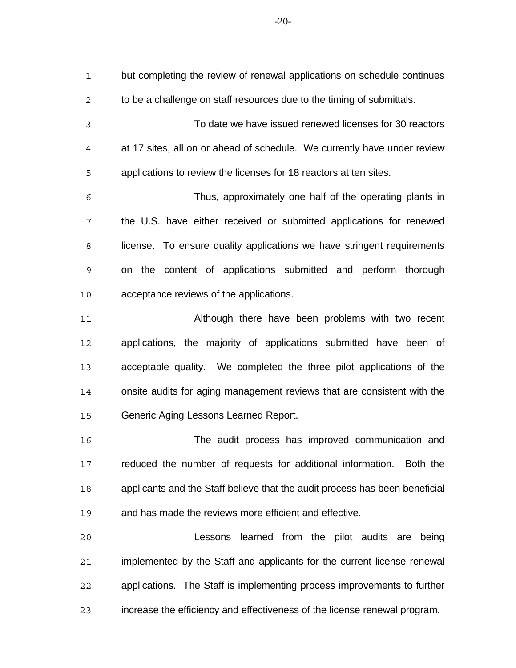but completing the review of renewal applications on schedule continues to be a challenge on staff resources due to the timing of submittals. To date we have issued renewed licenses for 30 reactors at 17 sites, all on or ahead of schedule. We currently have under review applications to review the licenses for 18 reactors at ten sites. Thus, approximately one half of the operating plants in the U.S. have either received or submitted applications for renewed 8 license. To ensure quality applications we have stringent requirements on the content of applications submitted and perform thorough acceptance reviews of the applications. Although there have been problems with two recent applications, the majority of applications submitted have been of acceptable quality. We completed the three pilot applications of the onsite audits for aging management reviews that are consistent with the Generic Aging Lessons Learned Report.

 The audit process has improved communication and reduced the number of requests for additional information. Both the applicants and the Staff believe that the audit process has been beneficial and has made the reviews more efficient and effective.

 Lessons learned from the pilot audits are being implemented by the Staff and applicants for the current license renewal applications. The Staff is implementing process improvements to further increase the efficiency and effectiveness of the license renewal program.

-20-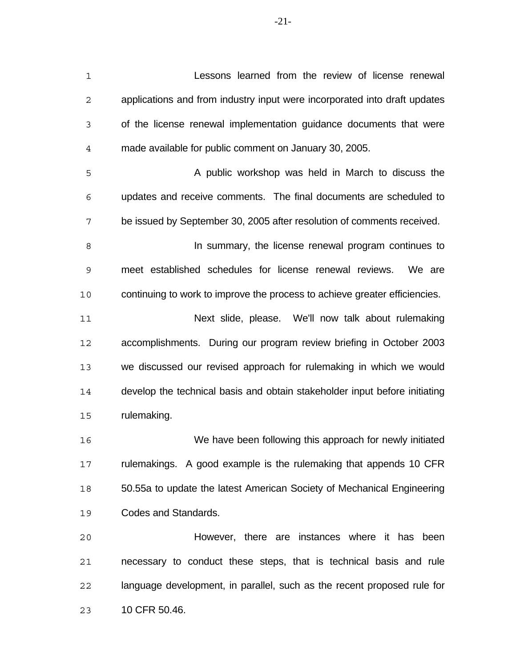Lessons learned from the review of license renewal applications and from industry input were incorporated into draft updates of the license renewal implementation guidance documents that were made available for public comment on January 30, 2005. 5 A public workshop was held in March to discuss the updates and receive comments. The final documents are scheduled to be issued by September 30, 2005 after resolution of comments received. **In summary, the license renewal program continues to**  meet established schedules for license renewal reviews. We are continuing to work to improve the process to achieve greater efficiencies. Next slide, please. We'll now talk about rulemaking accomplishments. During our program review briefing in October 2003 we discussed our revised approach for rulemaking in which we would develop the technical basis and obtain stakeholder input before initiating rulemaking. We have been following this approach for newly initiated rulemakings. A good example is the rulemaking that appends 10 CFR 50.55a to update the latest American Society of Mechanical Engineering Codes and Standards. However, there are instances where it has been

 necessary to conduct these steps, that is technical basis and rule language development, in parallel, such as the recent proposed rule for 10 CFR 50.46.

-21-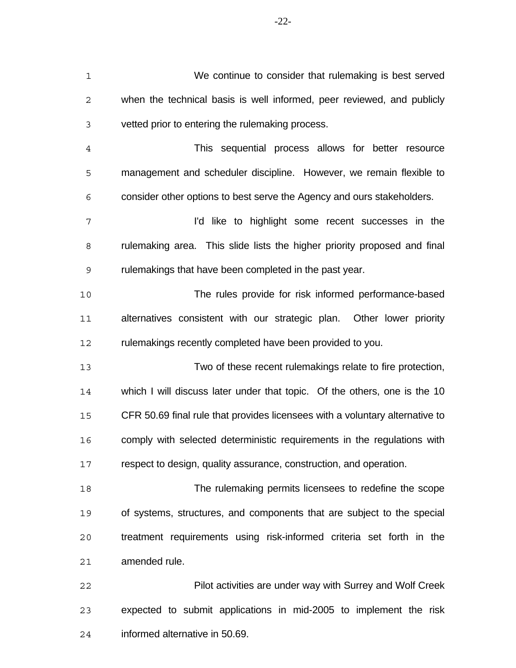| $\mathbf 1$    | We continue to consider that rulemaking is best served                       |
|----------------|------------------------------------------------------------------------------|
| $\mathbf 2$    | when the technical basis is well informed, peer reviewed, and publicly       |
| 3              | vetted prior to entering the rulemaking process.                             |
| $\overline{4}$ | This sequential process allows for better resource                           |
| 5              | management and scheduler discipline. However, we remain flexible to          |
| 6              | consider other options to best serve the Agency and ours stakeholders.       |
| 7              | I'd like to highlight some recent successes in the                           |
| 8              | rulemaking area. This slide lists the higher priority proposed and final     |
| 9              | rulemakings that have been completed in the past year.                       |
| 10             | The rules provide for risk informed performance-based                        |
| 11             | alternatives consistent with our strategic plan. Other lower priority        |
| 12             | rulemakings recently completed have been provided to you.                    |
| 13             | Two of these recent rulemakings relate to fire protection,                   |
| 14             | which I will discuss later under that topic. Of the others, one is the 10    |
| 15             | CFR 50.69 final rule that provides licensees with a voluntary alternative to |
| 16             | comply with selected deterministic requirements in the regulations with      |
| 17             | respect to design, quality assurance, construction, and operation.           |
| 18             | The rulemaking permits licensees to redefine the scope                       |
| 19             | of systems, structures, and components that are subject to the special       |
| 20             | treatment requirements using risk-informed criteria set forth in the         |
| 21             | amended rule.                                                                |
| 22             | Pilot activities are under way with Surrey and Wolf Creek                    |
| 23             | expected to submit applications in mid-2005 to implement the risk            |
|                |                                                                              |

informed alternative in 50.69.

-22-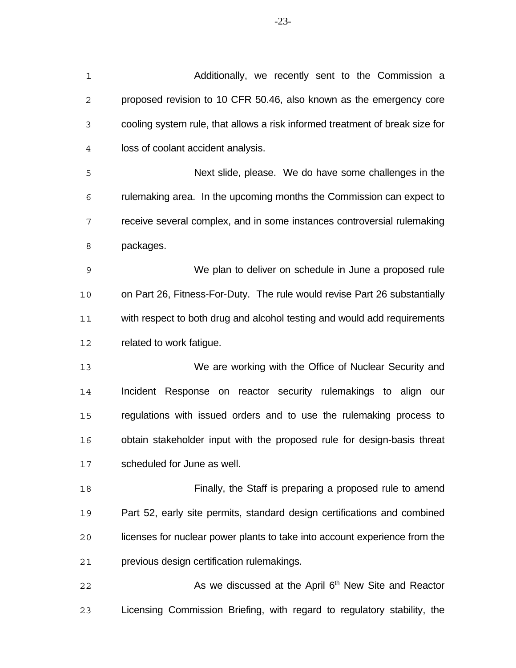| 1           | Additionally, we recently sent to the Commission a                           |
|-------------|------------------------------------------------------------------------------|
| $\mathbf 2$ | proposed revision to 10 CFR 50.46, also known as the emergency core          |
| 3           | cooling system rule, that allows a risk informed treatment of break size for |
| 4           | loss of coolant accident analysis.                                           |
| 5           | Next slide, please. We do have some challenges in the                        |
| 6           | rulemaking area. In the upcoming months the Commission can expect to         |
| 7           | receive several complex, and in some instances controversial rulemaking      |
| 8           | packages.                                                                    |
| $\mathsf 9$ | We plan to deliver on schedule in June a proposed rule                       |
| 10          | on Part 26, Fitness-For-Duty. The rule would revise Part 26 substantially    |
| 11          | with respect to both drug and alcohol testing and would add requirements     |
| 12          | related to work fatigue.                                                     |
| 13          | We are working with the Office of Nuclear Security and                       |
| 14          | Incident Response on reactor security rulemakings to align our               |
| 15          | regulations with issued orders and to use the rulemaking process to          |
| 16          | obtain stakeholder input with the proposed rule for design-basis threat      |
| 17          | scheduled for June as well.                                                  |
| 18          | Finally, the Staff is preparing a proposed rule to amend                     |
| 19          | Part 52, early site permits, standard design certifications and combined     |
| 20          | licenses for nuclear power plants to take into account experience from the   |

previous design certification rulemakings.

22 As we discussed at the April 6<sup>th</sup> New Site and Reactor Licensing Commission Briefing, with regard to regulatory stability, the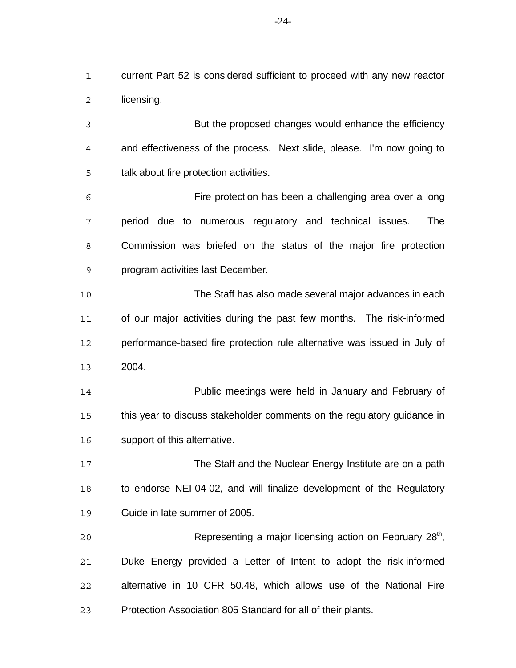current Part 52 is considered sufficient to proceed with any new reactor licensing.

 But the proposed changes would enhance the efficiency and effectiveness of the process. Next slide, please. I'm now going to talk about fire protection activities.

 Fire protection has been a challenging area over a long period due to numerous regulatory and technical issues. The Commission was briefed on the status of the major fire protection program activities last December.

 The Staff has also made several major advances in each 11 of our major activities during the past few months. The risk-informed performance-based fire protection rule alternative was issued in July of 2004.

 Public meetings were held in January and February of 15 this year to discuss stakeholder comments on the regulatory guidance in support of this alternative.

 The Staff and the Nuclear Energy Institute are on a path to endorse NEI-04-02, and will finalize development of the Regulatory Guide in late summer of 2005.

20 Representing a major licensing action on February 28<sup>th</sup>, Duke Energy provided a Letter of Intent to adopt the risk-informed alternative in 10 CFR 50.48, which allows use of the National Fire Protection Association 805 Standard for all of their plants.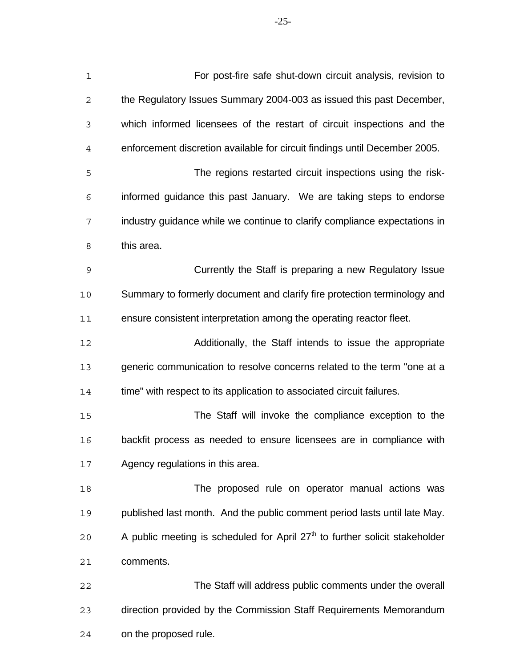For post-fire safe shut-down circuit analysis, revision to the Regulatory Issues Summary 2004-003 as issued this past December, which informed licensees of the restart of circuit inspections and the enforcement discretion available for circuit findings until December 2005. The regions restarted circuit inspections using the risk- informed guidance this past January. We are taking steps to endorse industry guidance while we continue to clarify compliance expectations in this area. Currently the Staff is preparing a new Regulatory Issue Summary to formerly document and clarify fire protection terminology and ensure consistent interpretation among the operating reactor fleet. Additionally, the Staff intends to issue the appropriate generic communication to resolve concerns related to the term "one at a 14 time" with respect to its application to associated circuit failures. The Staff will invoke the compliance exception to the backfit process as needed to ensure licensees are in compliance with Agency regulations in this area.

 The proposed rule on operator manual actions was published last month. And the public comment period lasts until late May. 20 A public meeting is scheduled for April  $27<sup>th</sup>$  to further solicit stakeholder comments.

 The Staff will address public comments under the overall direction provided by the Commission Staff Requirements Memorandum on the proposed rule.

-25-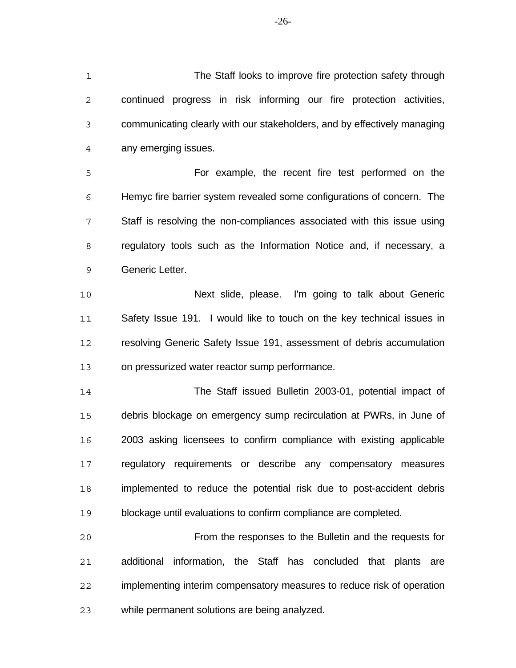The Staff looks to improve fire protection safety through continued progress in risk informing our fire protection activities, communicating clearly with our stakeholders, and by effectively managing any emerging issues.

 For example, the recent fire test performed on the Hemyc fire barrier system revealed some configurations of concern. The Staff is resolving the non-compliances associated with this issue using regulatory tools such as the Information Notice and, if necessary, a Generic Letter.

 Next slide, please. I'm going to talk about Generic Safety Issue 191. I would like to touch on the key technical issues in resolving Generic Safety Issue 191, assessment of debris accumulation on pressurized water reactor sump performance.

 The Staff issued Bulletin 2003-01, potential impact of debris blockage on emergency sump recirculation at PWRs, in June of 2003 asking licensees to confirm compliance with existing applicable regulatory requirements or describe any compensatory measures implemented to reduce the potential risk due to post-accident debris blockage until evaluations to confirm compliance are completed.

 From the responses to the Bulletin and the requests for additional information, the Staff has concluded that plants are implementing interim compensatory measures to reduce risk of operation while permanent solutions are being analyzed.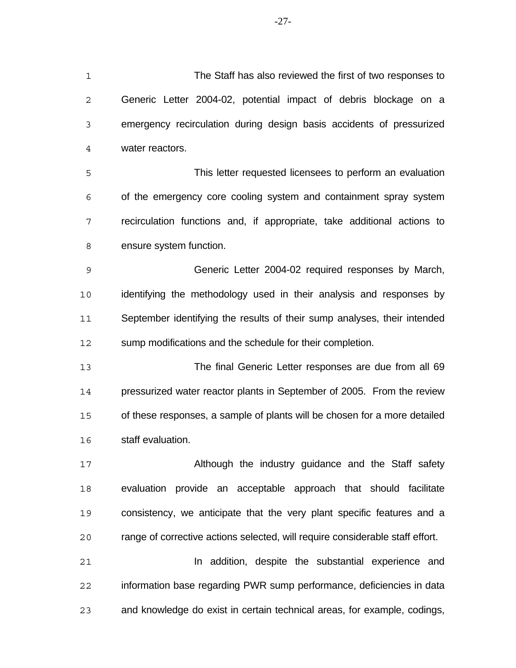The Staff has also reviewed the first of two responses to Generic Letter 2004-02, potential impact of debris blockage on a emergency recirculation during design basis accidents of pressurized water reactors. This letter requested licensees to perform an evaluation of the emergency core cooling system and containment spray system recirculation functions and, if appropriate, take additional actions to ensure system function. Generic Letter 2004-02 required responses by March, identifying the methodology used in their analysis and responses by September identifying the results of their sump analyses, their intended sump modifications and the schedule for their completion. The final Generic Letter responses are due from all 69 pressurized water reactor plants in September of 2005. From the review of these responses, a sample of plants will be chosen for a more detailed staff evaluation. 17 Although the industry guidance and the Staff safety evaluation provide an acceptable approach that should facilitate consistency, we anticipate that the very plant specific features and a

**In addition, despite the substantial experience and**  information base regarding PWR sump performance, deficiencies in data and knowledge do exist in certain technical areas, for example, codings,

range of corrective actions selected, will require considerable staff effort.

-27-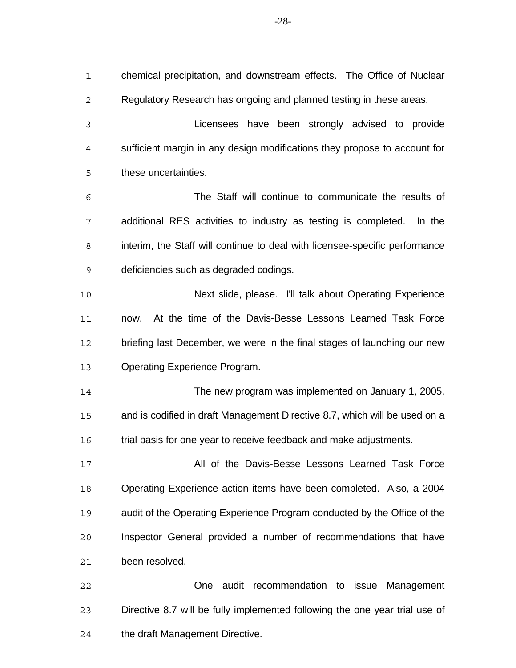chemical precipitation, and downstream effects. The Office of Nuclear Regulatory Research has ongoing and planned testing in these areas. Licensees have been strongly advised to provide sufficient margin in any design modifications they propose to account for these uncertainties. The Staff will continue to communicate the results of additional RES activities to industry as testing is completed. In the interim, the Staff will continue to deal with licensee-specific performance deficiencies such as degraded codings. Next slide, please. I'll talk about Operating Experience now. At the time of the Davis-Besse Lessons Learned Task Force 12 briefing last December, we were in the final stages of launching our new Operating Experience Program. The new program was implemented on January 1, 2005, and is codified in draft Management Directive 8.7, which will be used on a trial basis for one year to receive feedback and make adjustments. All of the Davis-Besse Lessons Learned Task Force Operating Experience action items have been completed. Also, a 2004 audit of the Operating Experience Program conducted by the Office of the Inspector General provided a number of recommendations that have been resolved. One audit recommendation to issue Management Directive 8.7 will be fully implemented following the one year trial use of

the draft Management Directive.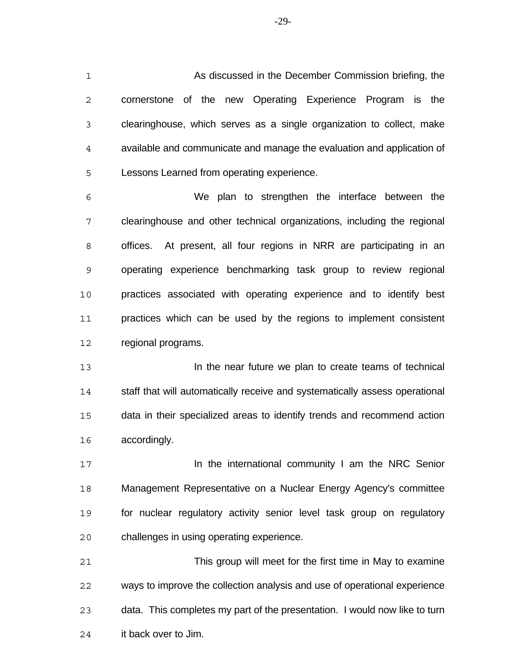As discussed in the December Commission briefing, the cornerstone of the new Operating Experience Program is the clearinghouse, which serves as a single organization to collect, make available and communicate and manage the evaluation and application of Lessons Learned from operating experience.

 We plan to strengthen the interface between the clearinghouse and other technical organizations, including the regional offices. At present, all four regions in NRR are participating in an operating experience benchmarking task group to review regional practices associated with operating experience and to identify best 11 practices which can be used by the regions to implement consistent regional programs.

 In the near future we plan to create teams of technical staff that will automatically receive and systematically assess operational data in their specialized areas to identify trends and recommend action accordingly.

**In the international community I am the NRC Senior**  Management Representative on a Nuclear Energy Agency's committee for nuclear regulatory activity senior level task group on regulatory challenges in using operating experience.

 This group will meet for the first time in May to examine ways to improve the collection analysis and use of operational experience data. This completes my part of the presentation. I would now like to turn it back over to Jim.

-29-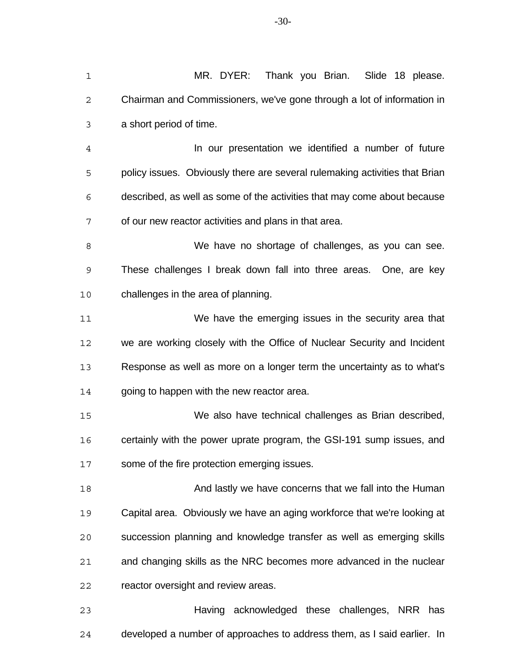| $\mathbf 1$    | MR. DYER:<br>Thank you Brian.<br>Slide 18 please.                           |
|----------------|-----------------------------------------------------------------------------|
| 2              | Chairman and Commissioners, we've gone through a lot of information in      |
| 3              | a short period of time.                                                     |
| $\overline{4}$ | In our presentation we identified a number of future                        |
| 5              | policy issues. Obviously there are several rulemaking activities that Brian |
| 6              | described, as well as some of the activities that may come about because    |
| 7              | of our new reactor activities and plans in that area.                       |
| 8              | We have no shortage of challenges, as you can see.                          |
| 9              | These challenges I break down fall into three areas. One, are key           |
| 10             | challenges in the area of planning.                                         |
| 11             | We have the emerging issues in the security area that                       |
| 12             | we are working closely with the Office of Nuclear Security and Incident     |
| 13             | Response as well as more on a longer term the uncertainty as to what's      |
| 14             | going to happen with the new reactor area.                                  |
| 15             | We also have technical challenges as Brian described,                       |
| 16             | certainly with the power uprate program, the GSI-191 sump issues, and       |
| 17             | some of the fire protection emerging issues.                                |
| 18             | And lastly we have concerns that we fall into the Human                     |
| 19             | Capital area. Obviously we have an aging workforce that we're looking at    |
| 20             | succession planning and knowledge transfer as well as emerging skills       |
| 21             | and changing skills as the NRC becomes more advanced in the nuclear         |
| 22             | reactor oversight and review areas.                                         |
| 23             | Having acknowledged these challenges, NRR has                               |

developed a number of approaches to address them, as I said earlier. In

-30-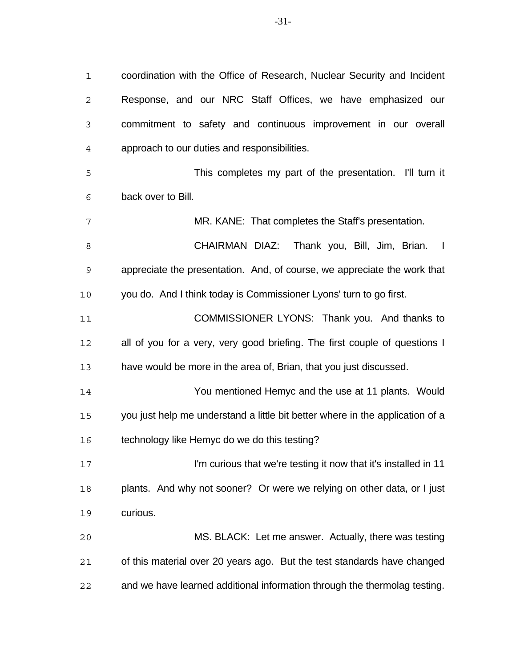coordination with the Office of Research, Nuclear Security and Incident Response, and our NRC Staff Offices, we have emphasized our commitment to safety and continuous improvement in our overall approach to our duties and responsibilities. This completes my part of the presentation. I'll turn it back over to Bill. MR. KANE: That completes the Staff's presentation.

8 CHAIRMAN DIAZ: Thank you, Bill, Jim, Brian. I appreciate the presentation. And, of course, we appreciate the work that you do. And I think today is Commissioner Lyons' turn to go first.

 COMMISSIONER LYONS: Thank you. And thanks to all of you for a very, very good briefing. The first couple of questions I have would be more in the area of, Brian, that you just discussed.

 You mentioned Hemyc and the use at 11 plants. Would you just help me understand a little bit better where in the application of a technology like Hemyc do we do this testing?

 I'm curious that we're testing it now that it's installed in 11 plants. And why not sooner? Or were we relying on other data, or I just curious.

 MS. BLACK: Let me answer. Actually, there was testing of this material over 20 years ago. But the test standards have changed and we have learned additional information through the thermolag testing.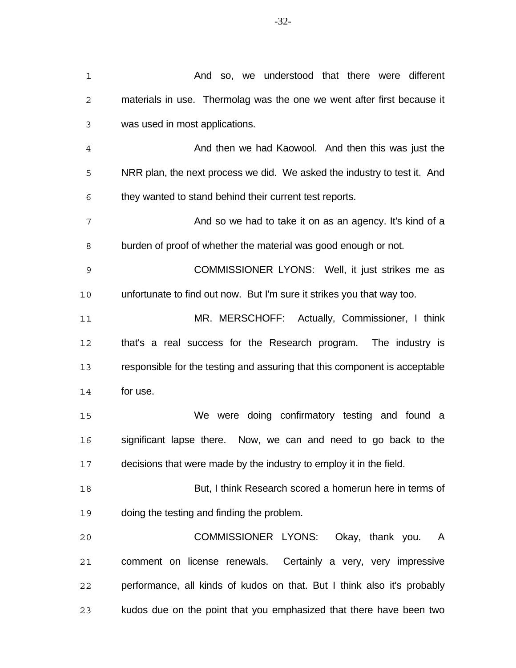| $\mathbf 1$    | And so, we understood that there were different                            |
|----------------|----------------------------------------------------------------------------|
| $\mathbf{2}$   | materials in use. Thermolag was the one we went after first because it     |
| 3              | was used in most applications.                                             |
| $\overline{4}$ | And then we had Kaowool. And then this was just the                        |
| 5              | NRR plan, the next process we did. We asked the industry to test it. And   |
| 6              | they wanted to stand behind their current test reports.                    |
| 7              | And so we had to take it on as an agency. It's kind of a                   |
| 8              | burden of proof of whether the material was good enough or not.            |
| 9              | COMMISSIONER LYONS: Well, it just strikes me as                            |
| 10             | unfortunate to find out now. But I'm sure it strikes you that way too.     |
| 11             | MR. MERSCHOFF: Actually, Commissioner, I think                             |
| 12             | that's a real success for the Research program. The industry is            |
| 13             | responsible for the testing and assuring that this component is acceptable |
| 14             | for use.                                                                   |
| 15             | We were doing confirmatory testing and found a                             |
| 16             | significant lapse there. Now, we can and need to go back to the            |
| 17             | decisions that were made by the industry to employ it in the field.        |
| 18             | But, I think Research scored a homerun here in terms of                    |
| 19             | doing the testing and finding the problem.                                 |
| 20             | COMMISSIONER LYONS:<br>Okay, thank you. A                                  |
| 21             | comment on license renewals. Certainly a very, very impressive             |
| 22             | performance, all kinds of kudos on that. But I think also it's probably    |
| 23             | kudos due on the point that you emphasized that there have been two        |

-32-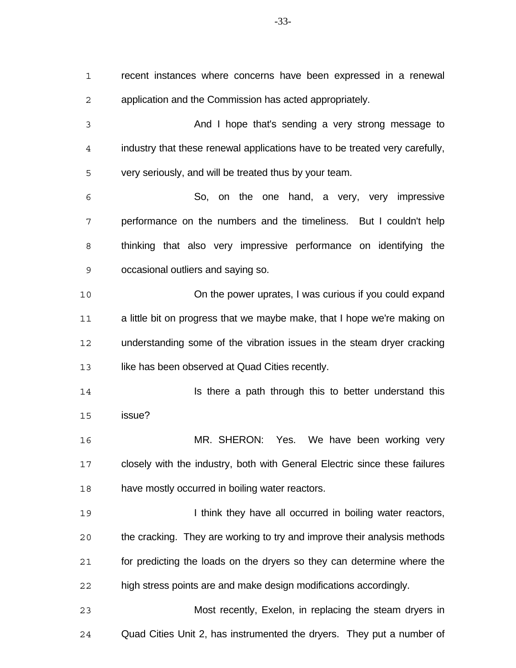recent instances where concerns have been expressed in a renewal application and the Commission has acted appropriately.

 And I hope that's sending a very strong message to industry that these renewal applications have to be treated very carefully, very seriously, and will be treated thus by your team.

 So, on the one hand, a very, very impressive performance on the numbers and the timeliness. But I couldn't help thinking that also very impressive performance on identifying the occasional outliers and saying so.

 On the power uprates, I was curious if you could expand 11 a little bit on progress that we maybe make, that I hope we're making on understanding some of the vibration issues in the steam dryer cracking 13 like has been observed at Quad Cities recently.

**Is there a path through this to better understand this** issue?

 MR. SHERON: Yes. We have been working very closely with the industry, both with General Electric since these failures have mostly occurred in boiling water reactors.

**I think they have all occurred in boiling water reactors,**  the cracking. They are working to try and improve their analysis methods for predicting the loads on the dryers so they can determine where the high stress points are and make design modifications accordingly.

 Most recently, Exelon, in replacing the steam dryers in Quad Cities Unit 2, has instrumented the dryers. They put a number of

-33-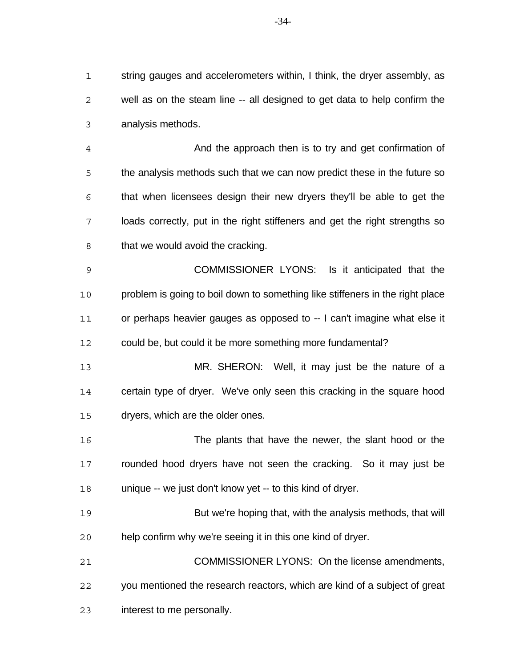string gauges and accelerometers within, I think, the dryer assembly, as well as on the steam line -- all designed to get data to help confirm the analysis methods.

 And the approach then is to try and get confirmation of the analysis methods such that we can now predict these in the future so that when licensees design their new dryers they'll be able to get the loads correctly, put in the right stiffeners and get the right strengths so 8 that we would avoid the cracking.

 COMMISSIONER LYONS: Is it anticipated that the problem is going to boil down to something like stiffeners in the right place or perhaps heavier gauges as opposed to -- I can't imagine what else it could be, but could it be more something more fundamental?

 MR. SHERON: Well, it may just be the nature of a certain type of dryer. We've only seen this cracking in the square hood dryers, which are the older ones.

 The plants that have the newer, the slant hood or the 17 rounded hood dryers have not seen the cracking. So it may just be unique -- we just don't know yet -- to this kind of dryer.

 But we're hoping that, with the analysis methods, that will help confirm why we're seeing it in this one kind of dryer.

 COMMISSIONER LYONS: On the license amendments, you mentioned the research reactors, which are kind of a subject of great interest to me personally.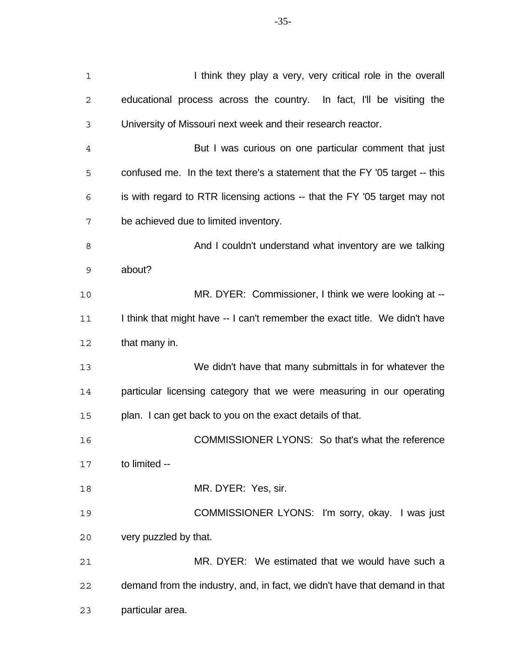| $\mathbf 1$    | I think they play a very, very critical role in the overall                 |
|----------------|-----------------------------------------------------------------------------|
| $\mathbf{2}$   | educational process across the country. In fact, I'll be visiting the       |
| 3              | University of Missouri next week and their research reactor.                |
| $\overline{4}$ | But I was curious on one particular comment that just                       |
| 5              | confused me. In the text there's a statement that the FY '05 target -- this |
| 6              | is with regard to RTR licensing actions -- that the FY '05 target may not   |
| 7              | be achieved due to limited inventory.                                       |
| 8              | And I couldn't understand what inventory are we talking                     |
| 9              | about?                                                                      |
| 10             | MR. DYER: Commissioner, I think we were looking at --                       |
| 11             | I think that might have -- I can't remember the exact title. We didn't have |
| 12             | that many in.                                                               |
| 13             | We didn't have that many submittals in for whatever the                     |
| 14             | particular licensing category that we were measuring in our operating       |
| 15             | plan. I can get back to you on the exact details of that.                   |
| 16             | COMMISSIONER LYONS: So that's what the reference                            |
| 17             | to limited --                                                               |
| 18             | MR. DYER: Yes, sir.                                                         |
| 19             | COMMISSIONER LYONS: I'm sorry, okay. I was just                             |
| 20             | very puzzled by that.                                                       |
| 21             | MR. DYER: We estimated that we would have such a                            |
| 22             | demand from the industry, and, in fact, we didn't have that demand in that  |
| 23             | particular area.                                                            |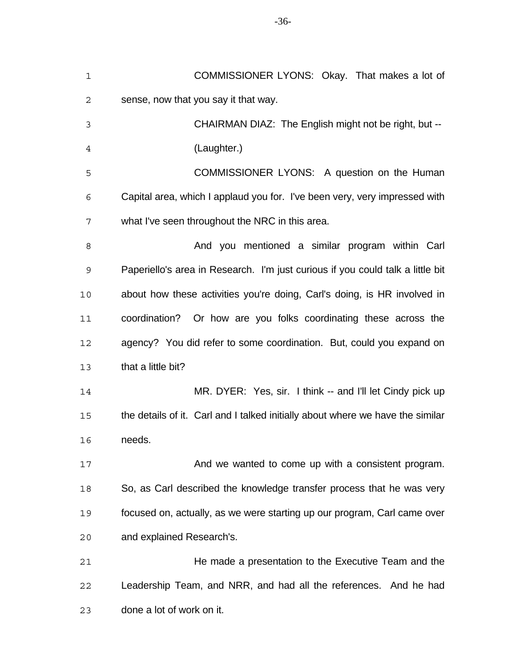| $\mathbf 1$ | COMMISSIONER LYONS: Okay. That makes a lot of                                  |
|-------------|--------------------------------------------------------------------------------|
| 2           | sense, now that you say it that way.                                           |
| 3           | CHAIRMAN DIAZ: The English might not be right, but --                          |
| 4           | (Laughter.)                                                                    |
| 5           | COMMISSIONER LYONS: A question on the Human                                    |
| 6           | Capital area, which I applaud you for. I've been very, very impressed with     |
| 7           | what I've seen throughout the NRC in this area.                                |
| 8           | And you mentioned a similar program within Carl                                |
| 9           | Paperiello's area in Research. I'm just curious if you could talk a little bit |
| 10          | about how these activities you're doing, Carl's doing, is HR involved in       |
| 11          | coordination? Or how are you folks coordinating these across the               |
| 12          | agency? You did refer to some coordination. But, could you expand on           |
| 13          | that a little bit?                                                             |
| 14          | MR. DYER: Yes, sir. I think -- and I'll let Cindy pick up                      |
| 15          | the details of it. Carl and I talked initially about where we have the similar |
| 16          | needs.                                                                         |
| 17          | And we wanted to come up with a consistent program.                            |
| 18          | So, as Carl described the knowledge transfer process that he was very          |
| 19          | focused on, actually, as we were starting up our program, Carl came over       |
| 20          | and explained Research's.                                                      |
| 21          | He made a presentation to the Executive Team and the                           |
| 22          | Leadership Team, and NRR, and had all the references. And he had               |
| 23          | done a lot of work on it.                                                      |

-36-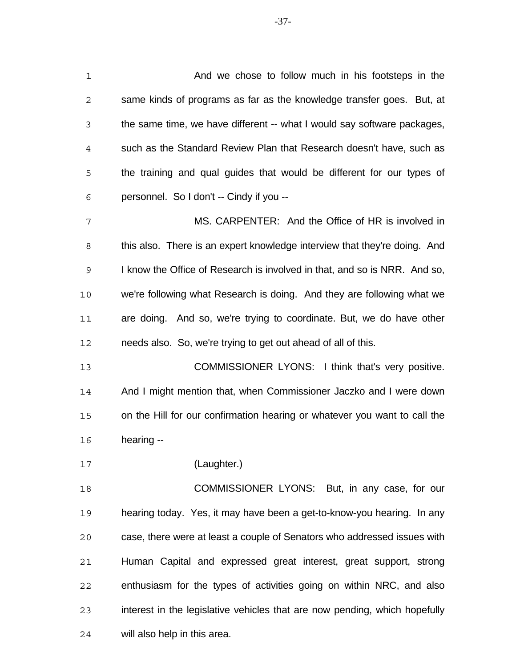| 1           | And we chose to follow much in his footsteps in the                        |
|-------------|----------------------------------------------------------------------------|
| 2           | same kinds of programs as far as the knowledge transfer goes. But, at      |
| 3           | the same time, we have different -- what I would say software packages,    |
| 4           | such as the Standard Review Plan that Research doesn't have, such as       |
| 5           | the training and qual guides that would be different for our types of      |
| 6           | personnel. So I don't -- Cindy if you --                                   |
| 7           | MS. CARPENTER: And the Office of HR is involved in                         |
| 8           | this also. There is an expert knowledge interview that they're doing. And  |
| $\mathsf 9$ | I know the Office of Research is involved in that, and so is NRR. And so,  |
| 10          | we're following what Research is doing. And they are following what we     |
| 11          | are doing. And so, we're trying to coordinate. But, we do have other       |
| 12          | needs also. So, we're trying to get out ahead of all of this.              |
| 13          | COMMISSIONER LYONS: I think that's very positive.                          |
| 14          | And I might mention that, when Commissioner Jaczko and I were down         |
| 15          | on the Hill for our confirmation hearing or whatever you want to call the  |
| 16          | hearing --                                                                 |
| 17          | (Laughter.)                                                                |
| 18          | COMMISSIONER LYONS: But, in any case, for our                              |
| 19          | hearing today. Yes, it may have been a get-to-know-you hearing. In any     |
| 20          | case, there were at least a couple of Senators who addressed issues with   |
| 21          | Human Capital and expressed great interest, great support, strong          |
| 22          | enthusiasm for the types of activities going on within NRC, and also       |
| 23          | interest in the legislative vehicles that are now pending, which hopefully |
| 24          | will also help in this area.                                               |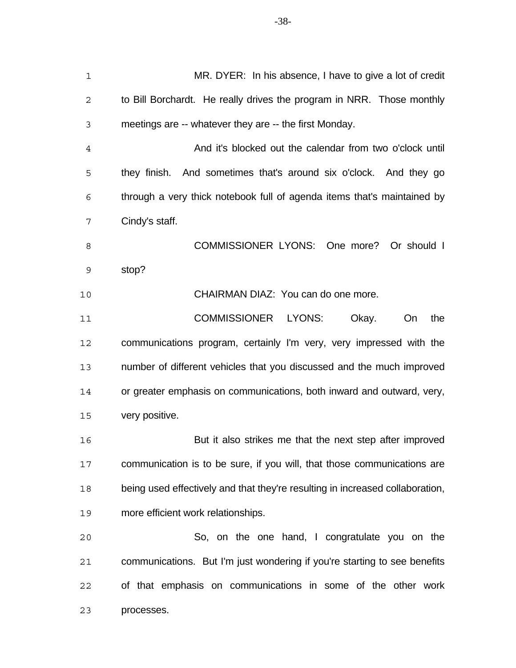MR. DYER: In his absence, I have to give a lot of credit to Bill Borchardt. He really drives the program in NRR. Those monthly meetings are -- whatever they are -- the first Monday. And it's blocked out the calendar from two o'clock until they finish. And sometimes that's around six o'clock. And they go through a very thick notebook full of agenda items that's maintained by Cindy's staff. 8 COMMISSIONER LYONS: One more? Or should I stop? CHAIRMAN DIAZ: You can do one more. COMMISSIONER LYONS: Okay. On the communications program, certainly I'm very, very impressed with the number of different vehicles that you discussed and the much improved or greater emphasis on communications, both inward and outward, very, very positive. But it also strikes me that the next step after improved communication is to be sure, if you will, that those communications are being used effectively and that they're resulting in increased collaboration, more efficient work relationships. So, on the one hand, I congratulate you on the communications. But I'm just wondering if you're starting to see benefits of that emphasis on communications in some of the other work processes.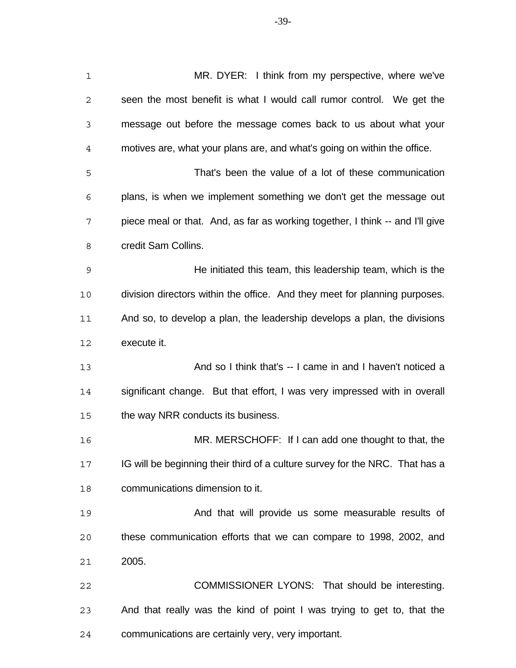MR. DYER: I think from my perspective, where we've seen the most benefit is what I would call rumor control. We get the message out before the message comes back to us about what your motives are, what your plans are, and what's going on within the office. That's been the value of a lot of these communication plans, is when we implement something we don't get the message out piece meal or that. And, as far as working together, I think -- and I'll give credit Sam Collins. He initiated this team, this leadership team, which is the division directors within the office. And they meet for planning purposes. And so, to develop a plan, the leadership develops a plan, the divisions execute it. And so I think that's -- I came in and I haven't noticed a significant change. But that effort, I was very impressed with in overall the way NRR conducts its business. MR. MERSCHOFF: If I can add one thought to that, the IG will be beginning their third of a culture survey for the NRC. That has a communications dimension to it.

**And that will provide us some measurable results of** that that will provide us some measurable results of these communication efforts that we can compare to 1998, 2002, and 2005.

 COMMISSIONER LYONS: That should be interesting. And that really was the kind of point I was trying to get to, that the communications are certainly very, very important.

-39-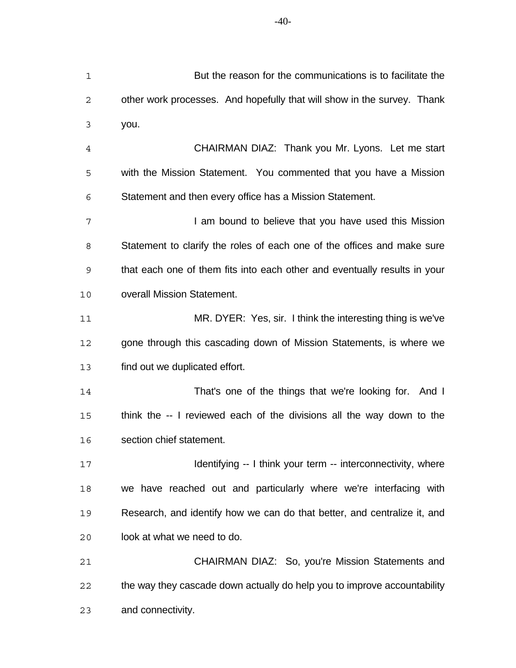But the reason for the communications is to facilitate the other work processes. And hopefully that will show in the survey. Thank you. CHAIRMAN DIAZ: Thank you Mr. Lyons. Let me start with the Mission Statement. You commented that you have a Mission Statement and then every office has a Mission Statement. 7 I am bound to believe that you have used this Mission Statement to clarify the roles of each one of the offices and make sure that each one of them fits into each other and eventually results in your overall Mission Statement. MR. DYER: Yes, sir. I think the interesting thing is we've gone through this cascading down of Mission Statements, is where we find out we duplicated effort. That's one of the things that we're looking for. And I think the -- I reviewed each of the divisions all the way down to the section chief statement. **Identifying -- I think your term -- interconnectivity, where** 

 we have reached out and particularly where we're interfacing with Research, and identify how we can do that better, and centralize it, and look at what we need to do.

 CHAIRMAN DIAZ: So, you're Mission Statements and the way they cascade down actually do help you to improve accountability and connectivity.

-40-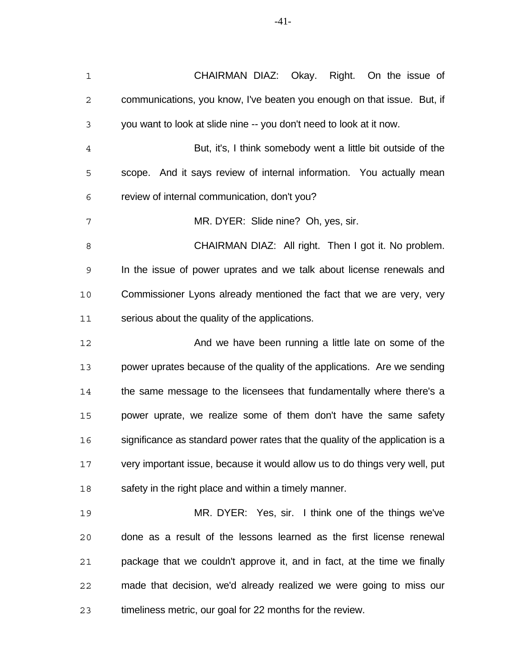| $\mathbf 1$    | CHAIRMAN DIAZ: Okay. Right. On the issue of                                   |
|----------------|-------------------------------------------------------------------------------|
| $\mathbf{2}$   | communications, you know, I've beaten you enough on that issue. But, if       |
| 3              | you want to look at slide nine -- you don't need to look at it now.           |
| $\overline{4}$ | But, it's, I think somebody went a little bit outside of the                  |
| 5              | scope. And it says review of internal information. You actually mean          |
| 6              | review of internal communication, don't you?                                  |
| 7              | MR. DYER: Slide nine? Oh, yes, sir.                                           |
| 8              | CHAIRMAN DIAZ: All right. Then I got it. No problem.                          |
| 9              | In the issue of power uprates and we talk about license renewals and          |
| 10             | Commissioner Lyons already mentioned the fact that we are very, very          |
| 11             | serious about the quality of the applications.                                |
| 12             | And we have been running a little late on some of the                         |
| 13             | power uprates because of the quality of the applications. Are we sending      |
| 14             | the same message to the licensees that fundamentally where there's a          |
| 15             | power uprate, we realize some of them don't have the same safety              |
| 16             | significance as standard power rates that the quality of the application is a |
| 17             | very important issue, because it would allow us to do things very well, put   |
| 18             | safety in the right place and within a timely manner.                         |
| 19             | MR. DYER: Yes, sir. I think one of the things we've                           |
| 20             | done as a result of the lessons learned as the first license renewal          |
| 21             | package that we couldn't approve it, and in fact, at the time we finally      |
| 22             | made that decision, we'd already realized we were going to miss our           |
|                |                                                                               |

timeliness metric, our goal for 22 months for the review.

-41-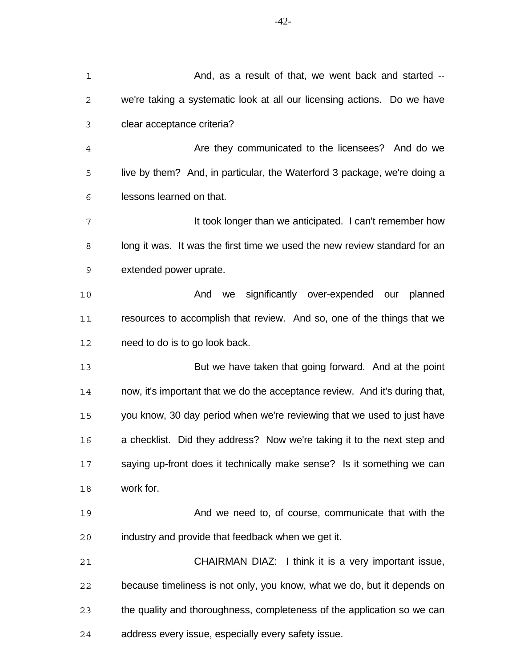| $\mathbf 1$    | And, as a result of that, we went back and started --                       |
|----------------|-----------------------------------------------------------------------------|
| 2              | we're taking a systematic look at all our licensing actions. Do we have     |
| 3              | clear acceptance criteria?                                                  |
| $\overline{4}$ | Are they communicated to the licensees? And do we                           |
| 5              | live by them? And, in particular, the Waterford 3 package, we're doing a    |
| 6              | lessons learned on that.                                                    |
| 7              | It took longer than we anticipated. I can't remember how                    |
| 8              | long it was. It was the first time we used the new review standard for an   |
| $\mathsf 9$    | extended power uprate.                                                      |
| 10             | we significantly over-expended our planned<br>And                           |
| 11             | resources to accomplish that review. And so, one of the things that we      |
| 12             | need to do is to go look back.                                              |
| 13             | But we have taken that going forward. And at the point                      |
| 14             | now, it's important that we do the acceptance review. And it's during that, |
| 15             | you know, 30 day period when we're reviewing that we used to just have      |
| 16             | a checklist. Did they address? Now we're taking it to the next step and     |
| 17             | saying up-front does it technically make sense? Is it something we can      |
| 18             | work for.                                                                   |
| 19             | And we need to, of course, communicate that with the                        |
| 20             | industry and provide that feedback when we get it.                          |
| 21             | CHAIRMAN DIAZ: I think it is a very important issue,                        |
| 22             | because timeliness is not only, you know, what we do, but it depends on     |
| 23             | the quality and thoroughness, completeness of the application so we can     |
| 24             | address every issue, especially every safety issue.                         |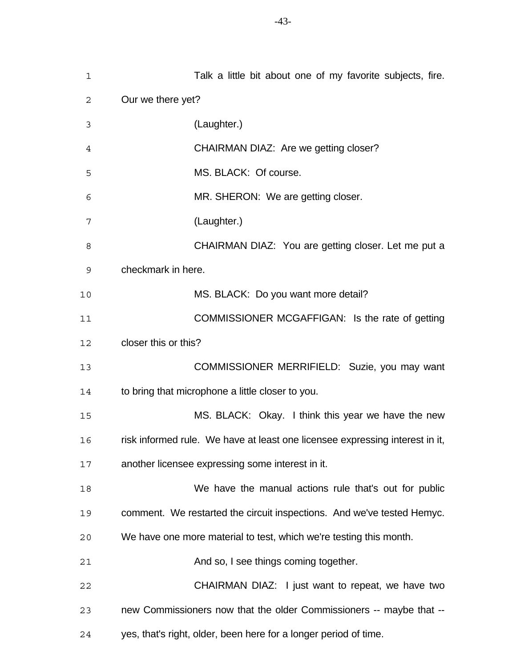| 1  | Talk a little bit about one of my favorite subjects, fire.                   |
|----|------------------------------------------------------------------------------|
| 2  | Our we there yet?                                                            |
| 3  | (Laughter.)                                                                  |
| 4  | CHAIRMAN DIAZ: Are we getting closer?                                        |
| 5  | MS. BLACK: Of course.                                                        |
| 6  | MR. SHERON: We are getting closer.                                           |
| 7  | (Laughter.)                                                                  |
| 8  | CHAIRMAN DIAZ: You are getting closer. Let me put a                          |
| 9  | checkmark in here.                                                           |
| 10 | MS. BLACK: Do you want more detail?                                          |
| 11 | COMMISSIONER MCGAFFIGAN: Is the rate of getting                              |
| 12 | closer this or this?                                                         |
| 13 | COMMISSIONER MERRIFIELD: Suzie, you may want                                 |
| 14 | to bring that microphone a little closer to you.                             |
| 15 | MS. BLACK: Okay. I think this year we have the new                           |
| 16 | risk informed rule. We have at least one licensee expressing interest in it, |
| 17 | another licensee expressing some interest in it.                             |
| 18 | We have the manual actions rule that's out for public                        |
| 19 | comment. We restarted the circuit inspections. And we've tested Hemyc.       |
| 20 | We have one more material to test, which we're testing this month.           |
| 21 | And so, I see things coming together.                                        |
| 22 | CHAIRMAN DIAZ: I just want to repeat, we have two                            |
| 23 | new Commissioners now that the older Commissioners -- maybe that --          |
| 24 | yes, that's right, older, been here for a longer period of time.             |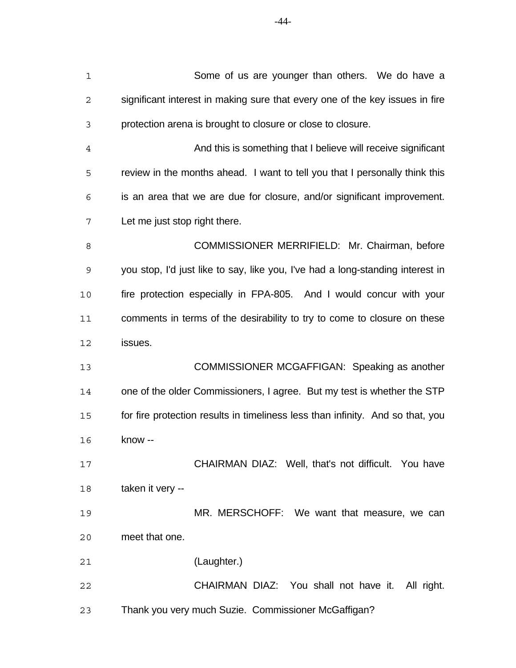| $\mathbf 1$  | Some of us are younger than others. We do have a                               |
|--------------|--------------------------------------------------------------------------------|
| $\mathbf{2}$ | significant interest in making sure that every one of the key issues in fire   |
| 3            | protection arena is brought to closure or close to closure.                    |
| 4            | And this is something that I believe will receive significant                  |
| 5            | review in the months ahead. I want to tell you that I personally think this    |
| 6            | is an area that we are due for closure, and/or significant improvement.        |
| 7            | Let me just stop right there.                                                  |
| 8            | COMMISSIONER MERRIFIELD: Mr. Chairman, before                                  |
| 9            | you stop, I'd just like to say, like you, I've had a long-standing interest in |
| 10           | fire protection especially in FPA-805. And I would concur with your            |
| 11           | comments in terms of the desirability to try to come to closure on these       |
| 12           | issues.                                                                        |
| 13           | COMMISSIONER MCGAFFIGAN: Speaking as another                                   |
| 14           | one of the older Commissioners, I agree. But my test is whether the STP        |
| 15           | for fire protection results in timeliness less than infinity. And so that, you |
| 16           | know --                                                                        |
| 17           | CHAIRMAN DIAZ: Well, that's not difficult. You have                            |
| 18           | taken it very --                                                               |
| 19           | MR. MERSCHOFF: We want that measure, we can                                    |
| 20           | meet that one.                                                                 |
| 21           | (Laughter.)                                                                    |
| 22           | CHAIRMAN DIAZ: You shall not have it. All right.                               |
| 23           | Thank you very much Suzie. Commissioner McGaffigan?                            |
|              |                                                                                |

-44-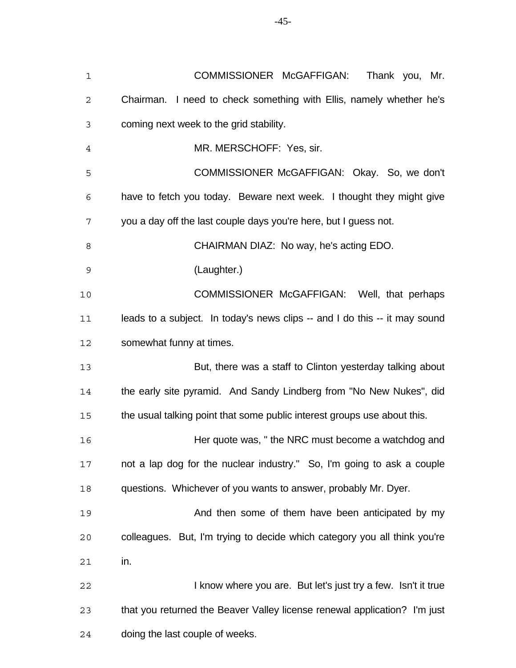| $\mathbf 1$    | COMMISSIONER McGAFFIGAN:<br>Thank you, Mr.                                 |
|----------------|----------------------------------------------------------------------------|
| $\mathbf{2}$   | Chairman. I need to check something with Ellis, namely whether he's        |
| 3              | coming next week to the grid stability.                                    |
| $\overline{4}$ | MR. MERSCHOFF: Yes, sir.                                                   |
| 5              | COMMISSIONER McGAFFIGAN: Okay. So, we don't                                |
| 6              | have to fetch you today. Beware next week. I thought they might give       |
| 7              | you a day off the last couple days you're here, but I guess not.           |
| 8              | CHAIRMAN DIAZ: No way, he's acting EDO.                                    |
| $\mathsf 9$    | (Laughter.)                                                                |
| $10$           | COMMISSIONER McGAFFIGAN: Well, that perhaps                                |
| 11             | leads to a subject. In today's news clips -- and I do this -- it may sound |
| 12             | somewhat funny at times.                                                   |
| 13             | But, there was a staff to Clinton yesterday talking about                  |
| 14             | the early site pyramid. And Sandy Lindberg from "No New Nukes", did        |
| 15             | the usual talking point that some public interest groups use about this.   |
| 16             | Her quote was, "the NRC must become a watchdog and                         |
| 17             | not a lap dog for the nuclear industry." So, I'm going to ask a couple     |
| 18             | questions. Whichever of you wants to answer, probably Mr. Dyer.            |
| 19             | And then some of them have been anticipated by my                          |
| 20             | colleagues. But, I'm trying to decide which category you all think you're  |
| 21             | in.                                                                        |
| 22             | I know where you are. But let's just try a few. Isn't it true              |
| 23             | that you returned the Beaver Valley license renewal application? I'm just  |
| 24             | doing the last couple of weeks.                                            |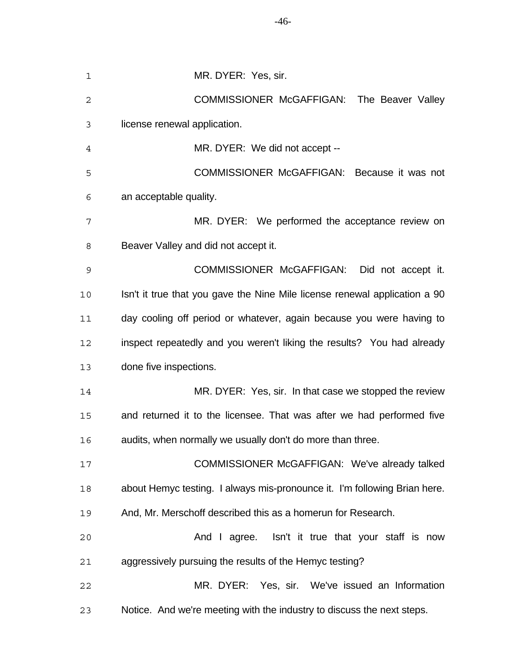| 1            | MR. DYER: Yes, sir.                                                        |
|--------------|----------------------------------------------------------------------------|
| $\mathbf{2}$ | COMMISSIONER McGAFFIGAN: The Beaver Valley                                 |
| 3            | license renewal application.                                               |
| 4            | MR. DYER: We did not accept --                                             |
| 5            | COMMISSIONER McGAFFIGAN: Because it was not                                |
| 6            | an acceptable quality.                                                     |
| 7            | MR. DYER: We performed the acceptance review on                            |
| 8            | Beaver Valley and did not accept it.                                       |
| 9            | COMMISSIONER McGAFFIGAN: Did not accept it.                                |
| 10           | Isn't it true that you gave the Nine Mile license renewal application a 90 |
| 11           | day cooling off period or whatever, again because you were having to       |
| 12           | inspect repeatedly and you weren't liking the results? You had already     |
| 13           | done five inspections.                                                     |
| 14           | MR. DYER: Yes, sir. In that case we stopped the review                     |
| 15           | and returned it to the licensee. That was after we had performed five      |
| 16           | audits, when normally we usually don't do more than three.                 |
| 17           | COMMISSIONER McGAFFIGAN: We've already talked                              |
| 18           | about Hemyc testing. I always mis-pronounce it. I'm following Brian here.  |
| 19           | And, Mr. Merschoff described this as a homerun for Research.               |
| 20           | And I agree. Isn't it true that your staff is now                          |
| 21           | aggressively pursuing the results of the Hemyc testing?                    |
| 22           | MR. DYER: Yes, sir. We've issued an Information                            |
| 23           | Notice. And we're meeting with the industry to discuss the next steps.     |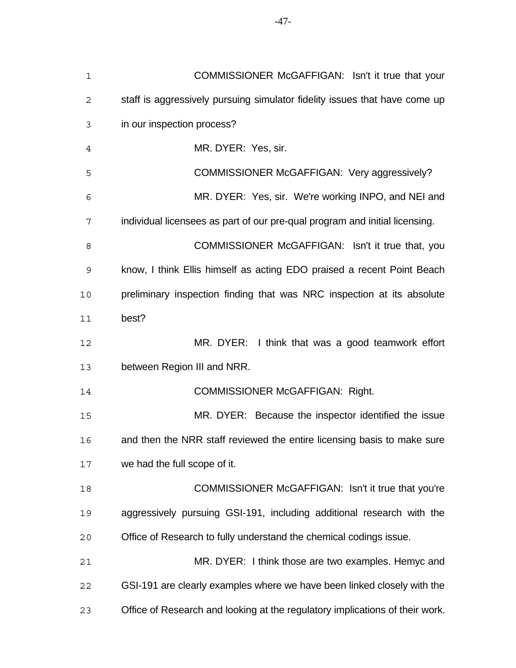| $\mathbf 1$ | COMMISSIONER McGAFFIGAN: Isn't it true that your                             |
|-------------|------------------------------------------------------------------------------|
| 2           | staff is aggressively pursuing simulator fidelity issues that have come up   |
| 3           | in our inspection process?                                                   |
| 4           | MR. DYER: Yes, sir.                                                          |
| 5           | COMMISSIONER McGAFFIGAN: Very aggressively?                                  |
| 6           | MR. DYER: Yes, sir. We're working INPO, and NEI and                          |
| 7           | individual licensees as part of our pre-qual program and initial licensing.  |
| 8           | COMMISSIONER McGAFFIGAN: Isn't it true that, you                             |
| 9           | know, I think Ellis himself as acting EDO praised a recent Point Beach       |
| 10          | preliminary inspection finding that was NRC inspection at its absolute       |
| 11          | best?                                                                        |
| 12          | MR. DYER: I think that was a good teamwork effort                            |
| 13          | between Region III and NRR.                                                  |
| 14          | <b>COMMISSIONER McGAFFIGAN: Right.</b>                                       |
| 15          | MR. DYER: Because the inspector identified the issue                         |
| 16          | and then the NRR staff reviewed the entire licensing basis to make sure      |
| 17          | we had the full scope of it.                                                 |
| 18          | COMMISSIONER McGAFFIGAN: Isn't it true that you're                           |
| 19          | aggressively pursuing GSI-191, including additional research with the        |
| 20          | Office of Research to fully understand the chemical codings issue.           |
| 21          | MR. DYER: I think those are two examples. Hemyc and                          |
| 22          | GSI-191 are clearly examples where we have been linked closely with the      |
| 23          | Office of Research and looking at the regulatory implications of their work. |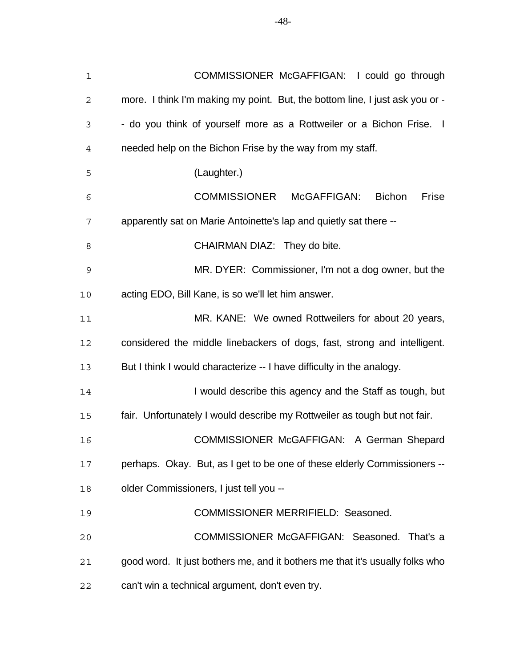| $\mathbf 1$ | COMMISSIONER McGAFFIGAN: I could go through                                  |
|-------------|------------------------------------------------------------------------------|
| 2           | more. I think I'm making my point. But, the bottom line, I just ask you or - |
| 3           | - do you think of yourself more as a Rottweiler or a Bichon Frise. I         |
| 4           | needed help on the Bichon Frise by the way from my staff.                    |
| 5           | (Laughter.)                                                                  |
| 6           | COMMISSIONER McGAFFIGAN:<br><b>Bichon</b><br>Frise                           |
| 7           | apparently sat on Marie Antoinette's lap and quietly sat there --            |
| 8           | CHAIRMAN DIAZ: They do bite.                                                 |
| 9           | MR. DYER: Commissioner, I'm not a dog owner, but the                         |
| 10          | acting EDO, Bill Kane, is so we'll let him answer.                           |
| 11          | MR. KANE: We owned Rottweilers for about 20 years,                           |
| 12          | considered the middle linebackers of dogs, fast, strong and intelligent.     |
| 13          | But I think I would characterize -- I have difficulty in the analogy.        |
| 14          | I would describe this agency and the Staff as tough, but                     |
| 15          | fair. Unfortunately I would describe my Rottweiler as tough but not fair.    |
| 16          | COMMISSIONER McGAFFIGAN: A German Shepard                                    |
| 17          | perhaps. Okay. But, as I get to be one of these elderly Commissioners --     |
| 18          | older Commissioners, I just tell you --                                      |
| 19          | COMMISSIONER MERRIFIELD: Seasoned.                                           |
| 20          | COMMISSIONER McGAFFIGAN: Seasoned. That's a                                  |
| 21          | good word. It just bothers me, and it bothers me that it's usually folks who |
| 22          | can't win a technical argument, don't even try.                              |

-48-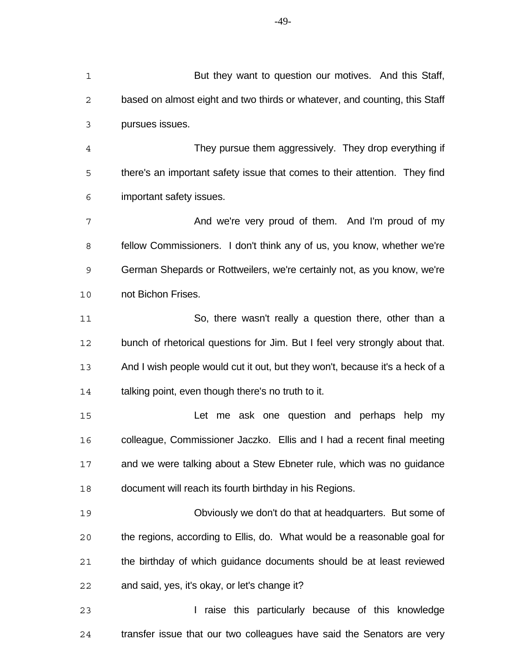based on almost eight and two thirds or whatever, and counting, this Staff pursues issues. They pursue them aggressively. They drop everything if there's an important safety issue that comes to their attention. They find important safety issues. 7 And we're very proud of them. And I'm proud of my fellow Commissioners. I don't think any of us, you know, whether we're German Shepards or Rottweilers, we're certainly not, as you know, we're not Bichon Frises. So, there wasn't really a question there, other than a bunch of rhetorical questions for Jim. But I feel very strongly about that. And I wish people would cut it out, but they won't, because it's a heck of a talking point, even though there's no truth to it. Let me ask one question and perhaps help my colleague, Commissioner Jaczko. Ellis and I had a recent final meeting and we were talking about a Stew Ebneter rule, which was no guidance document will reach its fourth birthday in his Regions. Obviously we don't do that at headquarters. But some of the regions, according to Ellis, do. What would be a reasonable goal for

 the birthday of which guidance documents should be at least reviewed and said, yes, it's okay, or let's change it?

**I raise this particularly because of this knowledge** transfer issue that our two colleagues have said the Senators are very

-49-

But they want to question our motives. And this Staff,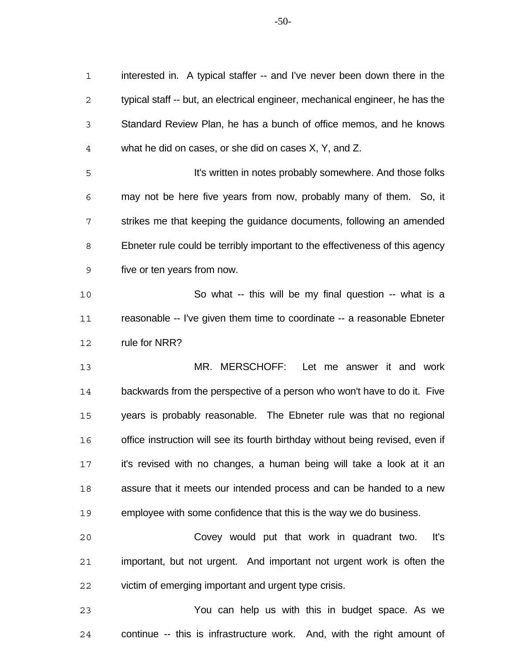interested in. A typical staffer -- and I've never been down there in the typical staff -- but, an electrical engineer, mechanical engineer, he has the Standard Review Plan, he has a bunch of office memos, and he knows what he did on cases, or she did on cases X, Y, and Z.

 It's written in notes probably somewhere. And those folks may not be here five years from now, probably many of them. So, it strikes me that keeping the guidance documents, following an amended Ebneter rule could be terribly important to the effectiveness of this agency five or ten years from now.

 So what -- this will be my final question -- what is a reasonable -- I've given them time to coordinate -- a reasonable Ebneter rule for NRR?

 MR. MERSCHOFF: Let me answer it and work backwards from the perspective of a person who won't have to do it. Five years is probably reasonable. The Ebneter rule was that no regional 16 office instruction will see its fourth birthday without being revised, even if it's revised with no changes, a human being will take a look at it an assure that it meets our intended process and can be handed to a new employee with some confidence that this is the way we do business.

 Covey would put that work in quadrant two. It's important, but not urgent. And important not urgent work is often the victim of emerging important and urgent type crisis.

 You can help us with this in budget space. As we continue -- this is infrastructure work. And, with the right amount of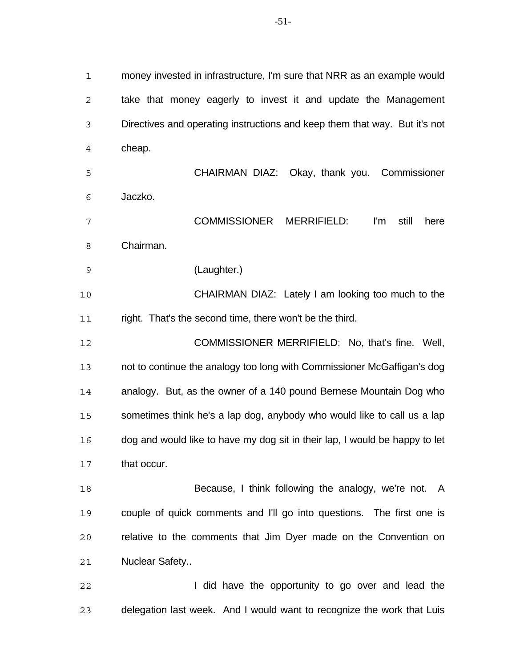money invested in infrastructure, I'm sure that NRR as an example would take that money eagerly to invest it and update the Management Directives and operating instructions and keep them that way. But it's not cheap. CHAIRMAN DIAZ: Okay, thank you. Commissioner Jaczko. COMMISSIONER MERRIFIELD: I'm still here Chairman. (Laughter.) CHAIRMAN DIAZ: Lately I am looking too much to the right. That's the second time, there won't be the third. COMMISSIONER MERRIFIELD: No, that's fine. Well, not to continue the analogy too long with Commissioner McGaffigan's dog analogy. But, as the owner of a 140 pound Bernese Mountain Dog who 15 sometimes think he's a lap dog, anybody who would like to call us a lap dog and would like to have my dog sit in their lap, I would be happy to let that occur. Because, I think following the analogy, we're not. A couple of quick comments and I'll go into questions. The first one is relative to the comments that Jim Dyer made on the Convention on Nuclear Safety..

**I** did have the opportunity to go over and lead the delegation last week. And I would want to recognize the work that Luis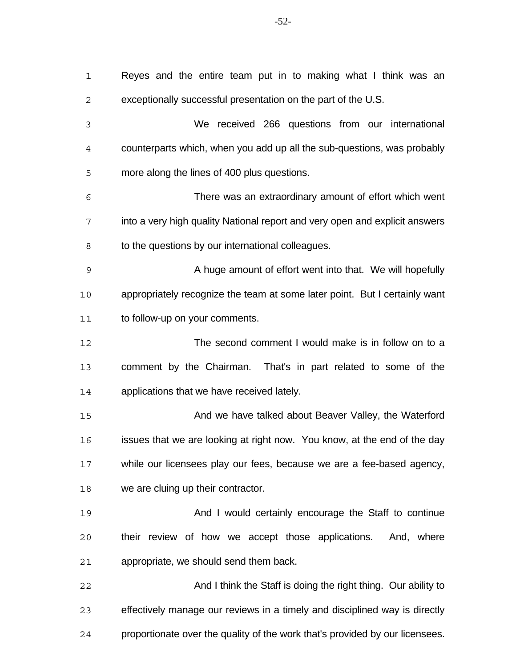| $\mathbf 1$    | Reyes and the entire team put in to making what I think was an               |
|----------------|------------------------------------------------------------------------------|
| $\mathbf 2$    | exceptionally successful presentation on the part of the U.S.                |
| 3              | We received 266 questions from our international                             |
| $\overline{4}$ | counterparts which, when you add up all the sub-questions, was probably      |
| 5              | more along the lines of 400 plus questions.                                  |
| 6              | There was an extraordinary amount of effort which went                       |
| 7              | into a very high quality National report and very open and explicit answers  |
| 8              | to the questions by our international colleagues.                            |
| $\mathsf 9$    | A huge amount of effort went into that. We will hopefully                    |
| 10             | appropriately recognize the team at some later point. But I certainly want   |
| 11             | to follow-up on your comments.                                               |
| 12             | The second comment I would make is in follow on to a                         |
| 13             | comment by the Chairman. That's in part related to some of the               |
| 14             | applications that we have received lately.                                   |
| 15             | And we have talked about Beaver Valley, the Waterford                        |
| 16             | issues that we are looking at right now. You know, at the end of the day     |
| 17             | while our licensees play our fees, because we are a fee-based agency,        |
| 18             | we are cluing up their contractor.                                           |
| 19             | And I would certainly encourage the Staff to continue                        |
| 20             | their review of how we accept those applications. And, where                 |
| 21             | appropriate, we should send them back.                                       |
| 22             | And I think the Staff is doing the right thing. Our ability to               |
| 23             | effectively manage our reviews in a timely and disciplined way is directly   |
| 24             | proportionate over the quality of the work that's provided by our licensees. |

-52-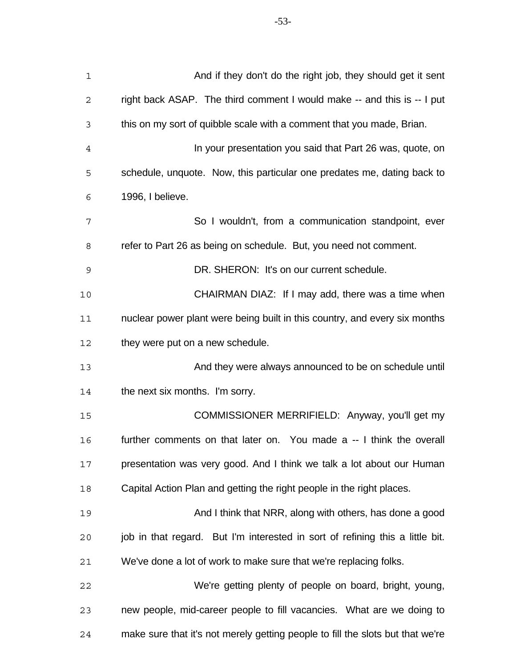| $\mathbf 1$  | And if they don't do the right job, they should get it sent                    |
|--------------|--------------------------------------------------------------------------------|
| $\mathbf{2}$ | right back ASAP. The third comment I would make -- and this is -- I put        |
| 3            | this on my sort of quibble scale with a comment that you made, Brian.          |
| 4            | In your presentation you said that Part 26 was, quote, on                      |
| 5            | schedule, unquote. Now, this particular one predates me, dating back to        |
| 6            | 1996, I believe.                                                               |
| 7            | So I wouldn't, from a communication standpoint, ever                           |
| 8            | refer to Part 26 as being on schedule. But, you need not comment.              |
| 9            | DR. SHERON: It's on our current schedule.                                      |
| 10           | CHAIRMAN DIAZ: If I may add, there was a time when                             |
| 11           | nuclear power plant were being built in this country, and every six months     |
| 12           | they were put on a new schedule.                                               |
| 13           | And they were always announced to be on schedule until                         |
| 14           | the next six months. I'm sorry.                                                |
| 15           | COMMISSIONER MERRIFIELD: Anyway, you'll get my                                 |
| 16           | further comments on that later on. You made a -- I think the overall           |
| 17           | presentation was very good. And I think we talk a lot about our Human          |
| 18           | Capital Action Plan and getting the right people in the right places.          |
| 19           | And I think that NRR, along with others, has done a good                       |
| 20           | job in that regard. But I'm interested in sort of refining this a little bit.  |
| 21           | We've done a lot of work to make sure that we're replacing folks.              |
| 22           | We're getting plenty of people on board, bright, young,                        |
| 23           | new people, mid-career people to fill vacancies. What are we doing to          |
| 24           | make sure that it's not merely getting people to fill the slots but that we're |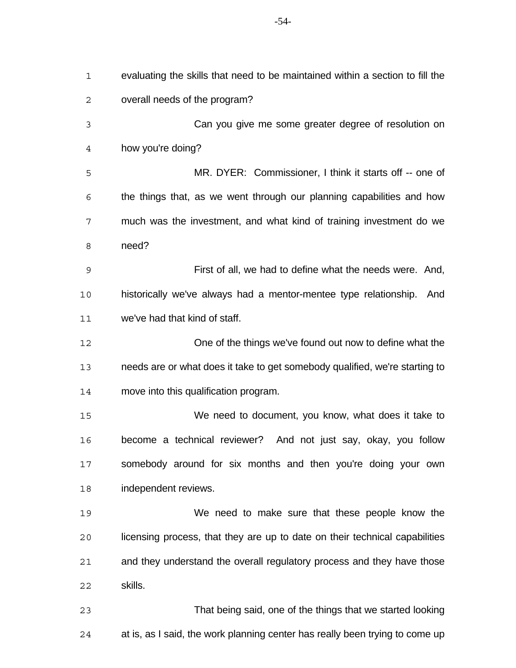| $\mathbf 1$ | evaluating the skills that need to be maintained within a section to fill the |
|-------------|-------------------------------------------------------------------------------|
| $\mathbf 2$ | overall needs of the program?                                                 |
| 3           | Can you give me some greater degree of resolution on                          |
| 4           | how you're doing?                                                             |
| 5           | MR. DYER: Commissioner, I think it starts off -- one of                       |
| 6           | the things that, as we went through our planning capabilities and how         |
| 7           | much was the investment, and what kind of training investment do we           |
| 8           | need?                                                                         |
| 9           | First of all, we had to define what the needs were. And,                      |
| 10          | historically we've always had a mentor-mentee type relationship.<br>And       |
| 11          | we've had that kind of staff.                                                 |
| 12          | One of the things we've found out now to define what the                      |
| 13          | needs are or what does it take to get somebody qualified, we're starting to   |
| 14          | move into this qualification program.                                         |
| 15          | We need to document, you know, what does it take to                           |
| 16          | become a technical reviewer? And not just say, okay, you follow               |
| 17          | somebody around for six months and then you're doing your own                 |
| 18          | independent reviews.                                                          |
| 19          | We need to make sure that these people know the                               |
| 20          | licensing process, that they are up to date on their technical capabilities   |
| 21          | and they understand the overall regulatory process and they have those        |
| 22          | skills.                                                                       |
| 23          | That being said, one of the things that we started looking                    |
| 24          | at is, as I said, the work planning center has really been trying to come up  |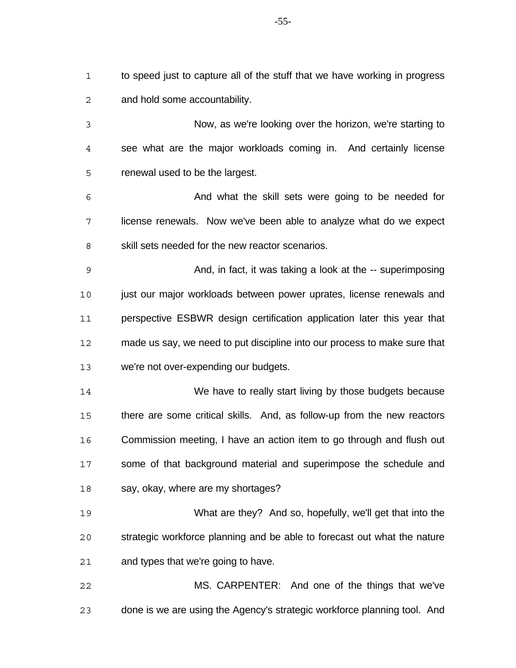to speed just to capture all of the stuff that we have working in progress and hold some accountability.

 Now, as we're looking over the horizon, we're starting to see what are the major workloads coming in. And certainly license renewal used to be the largest.

 And what the skill sets were going to be needed for license renewals. Now we've been able to analyze what do we expect 8 skill sets needed for the new reactor scenarios.

 And, in fact, it was taking a look at the -- superimposing 10 just our major workloads between power uprates, license renewals and perspective ESBWR design certification application later this year that made us say, we need to put discipline into our process to make sure that we're not over-expending our budgets.

 We have to really start living by those budgets because there are some critical skills. And, as follow-up from the new reactors Commission meeting, I have an action item to go through and flush out some of that background material and superimpose the schedule and say, okay, where are my shortages?

 What are they? And so, hopefully, we'll get that into the strategic workforce planning and be able to forecast out what the nature and types that we're going to have.

 MS. CARPENTER: And one of the things that we've done is we are using the Agency's strategic workforce planning tool. And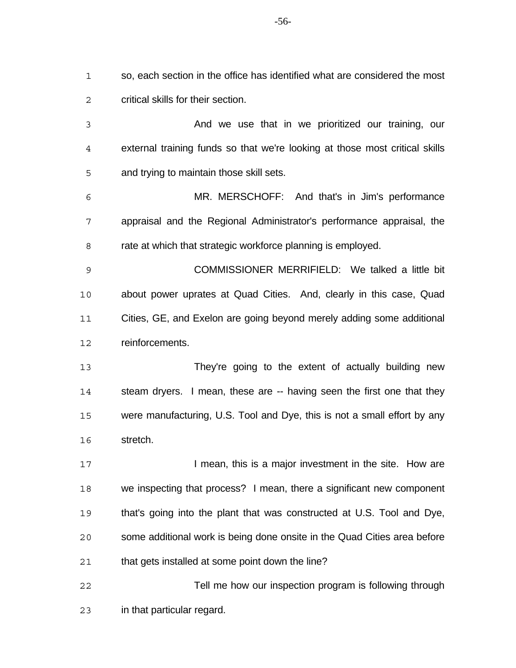so, each section in the office has identified what are considered the most critical skills for their section.

 And we use that in we prioritized our training, our external training funds so that we're looking at those most critical skills and trying to maintain those skill sets.

 MR. MERSCHOFF: And that's in Jim's performance appraisal and the Regional Administrator's performance appraisal, the rate at which that strategic workforce planning is employed.

 COMMISSIONER MERRIFIELD: We talked a little bit about power uprates at Quad Cities. And, clearly in this case, Quad Cities, GE, and Exelon are going beyond merely adding some additional reinforcements.

 They're going to the extent of actually building new steam dryers. I mean, these are -- having seen the first one that they were manufacturing, U.S. Tool and Dye, this is not a small effort by any stretch.

**I mean, this is a major investment in the site. How are**  we inspecting that process? I mean, there a significant new component that's going into the plant that was constructed at U.S. Tool and Dye, some additional work is being done onsite in the Quad Cities area before that gets installed at some point down the line?

 Tell me how our inspection program is following through in that particular regard.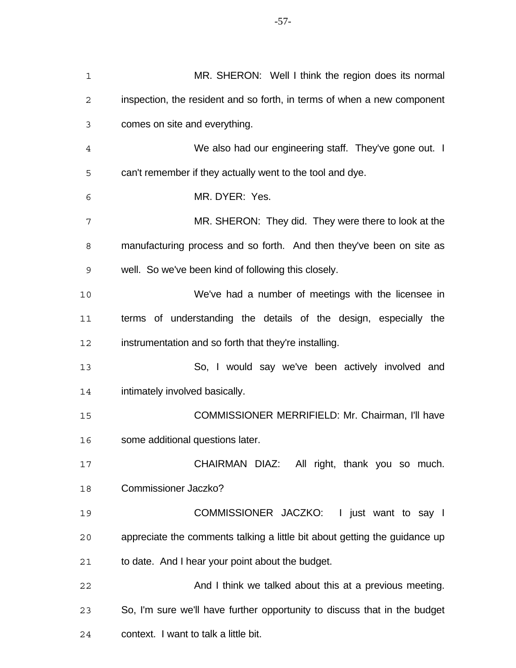| $\mathbf 1$    | MR. SHERON: Well I think the region does its normal                        |
|----------------|----------------------------------------------------------------------------|
| $\sqrt{2}$     | inspection, the resident and so forth, in terms of when a new component    |
| 3              | comes on site and everything.                                              |
| $\overline{4}$ | We also had our engineering staff. They've gone out. I                     |
| 5              | can't remember if they actually went to the tool and dye.                  |
| 6              | MR. DYER: Yes.                                                             |
| 7              | MR. SHERON: They did. They were there to look at the                       |
| 8              | manufacturing process and so forth. And then they've been on site as       |
| 9              | well. So we've been kind of following this closely.                        |
| 10             | We've had a number of meetings with the licensee in                        |
| 11             | terms of understanding the details of the design, especially the           |
| 12             | instrumentation and so forth that they're installing.                      |
| 13             | So, I would say we've been actively involved and                           |
| 14             | intimately involved basically.                                             |
| 15             | COMMISSIONER MERRIFIELD: Mr. Chairman, I'll have                           |
| 16             | some additional questions later.                                           |
| 17             | CHAIRMAN DIAZ: All right, thank you so much.                               |
| 18             | <b>Commissioner Jaczko?</b>                                                |
| 19             | COMMISSIONER JACZKO: I just want to say I                                  |
| 20             | appreciate the comments talking a little bit about getting the guidance up |
| 21             | to date. And I hear your point about the budget.                           |
| 22             | And I think we talked about this at a previous meeting.                    |
| 23             | So, I'm sure we'll have further opportunity to discuss that in the budget  |
| 24             | context. I want to talk a little bit.                                      |

-57-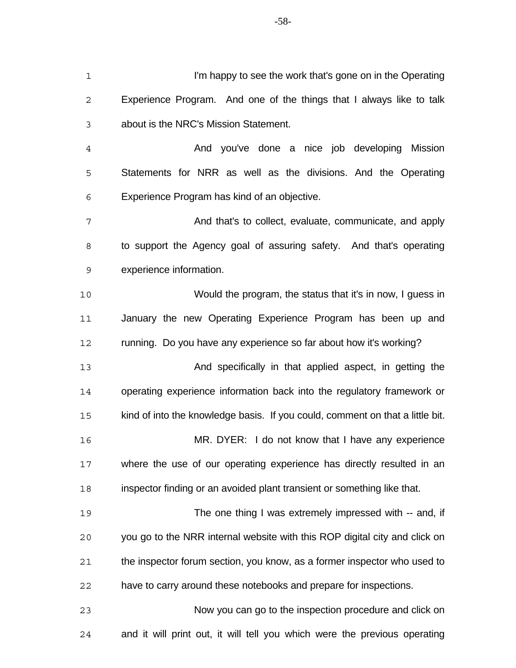I'm happy to see the work that's gone on in the Operating Experience Program. And one of the things that I always like to talk about is the NRC's Mission Statement. And you've done a nice job developing Mission Statements for NRR as well as the divisions. And the Operating Experience Program has kind of an objective. And that's to collect, evaluate, communicate, and apply to support the Agency goal of assuring safety. And that's operating experience information. Would the program, the status that it's in now, I guess in 11 January the new Operating Experience Program has been up and running. Do you have any experience so far about how it's working? And specifically in that applied aspect, in getting the operating experience information back into the regulatory framework or kind of into the knowledge basis. If you could, comment on that a little bit. MR. DYER: I do not know that I have any experience where the use of our operating experience has directly resulted in an inspector finding or an avoided plant transient or something like that. The one thing I was extremely impressed with -- and, if you go to the NRR internal website with this ROP digital city and click on the inspector forum section, you know, as a former inspector who used to have to carry around these notebooks and prepare for inspections. Now you can go to the inspection procedure and click on

and it will print out, it will tell you which were the previous operating

-58-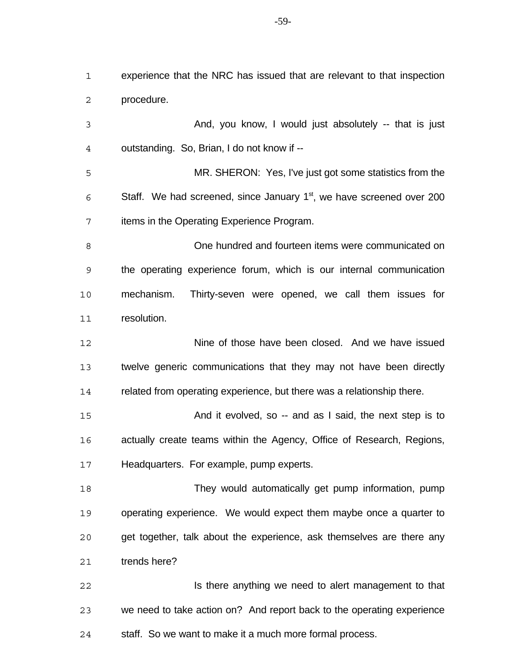experience that the NRC has issued that are relevant to that inspection procedure.

 And, you know, I would just absolutely -- that is just outstanding. So, Brian, I do not know if --

 MR. SHERON: Yes, I've just got some statistics from the Staff. We had screened, since January  $1<sup>st</sup>$ , we have screened over 200 items in the Operating Experience Program.

 One hundred and fourteen items were communicated on the operating experience forum, which is our internal communication mechanism. Thirty-seven were opened, we call them issues for resolution.

 Nine of those have been closed. And we have issued twelve generic communications that they may not have been directly related from operating experience, but there was a relationship there.

15 And it evolved, so -- and as I said, the next step is to actually create teams within the Agency, Office of Research, Regions, Headquarters. For example, pump experts.

 They would automatically get pump information, pump operating experience. We would expect them maybe once a quarter to get together, talk about the experience, ask themselves are there any trends here?

**Is there anything we need to alert management to that**  we need to take action on? And report back to the operating experience staff. So we want to make it a much more formal process.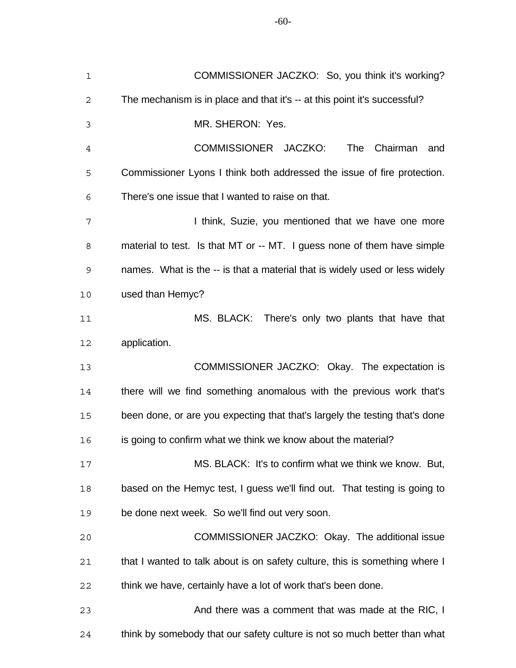| $\mathbf 1$ | COMMISSIONER JACZKO: So, you think it's working?                            |
|-------------|-----------------------------------------------------------------------------|
| $\mathbf 2$ | The mechanism is in place and that it's -- at this point it's successful?   |
| 3           | MR. SHERON: Yes.                                                            |
| 4           | COMMISSIONER JACZKO:<br>Chairman<br>The<br>and                              |
| 5           | Commissioner Lyons I think both addressed the issue of fire protection.     |
| 6           | There's one issue that I wanted to raise on that.                           |
| 7           | I think, Suzie, you mentioned that we have one more                         |
| 8           | material to test. Is that MT or -- MT. I guess none of them have simple     |
| 9           | names. What is the -- is that a material that is widely used or less widely |
| 10          | used than Hemyc?                                                            |
| 11          | MS. BLACK: There's only two plants that have that                           |
| 12          | application.                                                                |
| 13          | COMMISSIONER JACZKO: Okay. The expectation is                               |
| 14          | there will we find something anomalous with the previous work that's        |
| 15          | been done, or are you expecting that that's largely the testing that's done |
| 16          | is going to confirm what we think we know about the material?               |
| 17          | MS. BLACK: It's to confirm what we think we know. But,                      |
| 18          | based on the Hemyc test, I guess we'll find out. That testing is going to   |
| 19          | be done next week. So we'll find out very soon.                             |
| 20          | COMMISSIONER JACZKO: Okay. The additional issue                             |
| 21          | that I wanted to talk about is on safety culture, this is something where I |
| 22          | think we have, certainly have a lot of work that's been done.               |
| 23          | And there was a comment that was made at the RIC, I                         |
| 24          | think by somebody that our safety culture is not so much better than what   |

-60-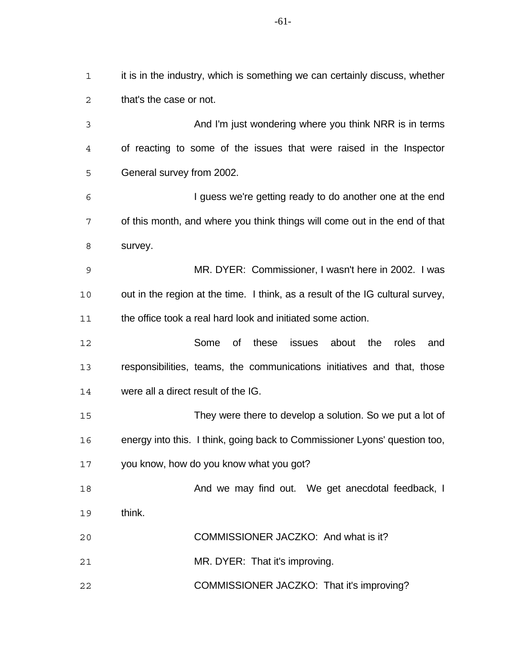that's the case or not. And I'm just wondering where you think NRR is in terms of reacting to some of the issues that were raised in the Inspector General survey from 2002. I guess we're getting ready to do another one at the end of this month, and where you think things will come out in the end of that survey. MR. DYER: Commissioner, I wasn't here in 2002. I was out in the region at the time. I think, as a result of the IG cultural survey, the office took a real hard look and initiated some action. Some of these issues about the roles and responsibilities, teams, the communications initiatives and that, those were all a direct result of the IG. They were there to develop a solution. So we put a lot of energy into this. I think, going back to Commissioner Lyons' question too, you know, how do you know what you got? **And we may find out.** We get anecdotal feedback, I think. COMMISSIONER JACZKO: And what is it? MR. DYER: That it's improving. COMMISSIONER JACZKO: That it's improving?

-61-

it is in the industry, which is something we can certainly discuss, whether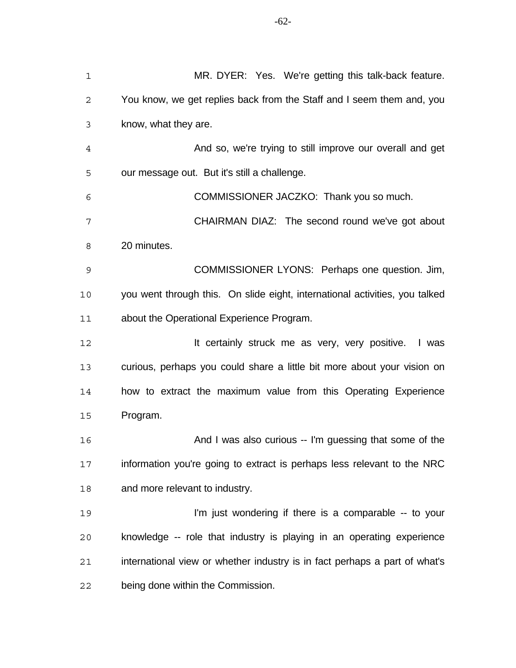| $\mathbf 1$ | MR. DYER: Yes. We're getting this talk-back feature.                        |
|-------------|-----------------------------------------------------------------------------|
| 2           | You know, we get replies back from the Staff and I seem them and, you       |
| 3           | know, what they are.                                                        |
| 4           | And so, we're trying to still improve our overall and get                   |
| 5           | our message out. But it's still a challenge.                                |
| 6           | COMMISSIONER JACZKO: Thank you so much.                                     |
| 7           | CHAIRMAN DIAZ: The second round we've got about                             |
| 8           | 20 minutes.                                                                 |
| 9           | COMMISSIONER LYONS: Perhaps one question. Jim,                              |
| 10          | you went through this. On slide eight, international activities, you talked |
| 11          | about the Operational Experience Program.                                   |
| 12          | It certainly struck me as very, very positive. I was                        |
| 13          | curious, perhaps you could share a little bit more about your vision on     |
| 14          | how to extract the maximum value from this Operating Experience             |
| 15          | Program.                                                                    |
| 16          | And I was also curious -- I'm guessing that some of the                     |
| 17          | information you're going to extract is perhaps less relevant to the NRC     |
| 18          | and more relevant to industry.                                              |
| 19          | I'm just wondering if there is a comparable -- to your                      |
| 20          | knowledge -- role that industry is playing in an operating experience       |
| 21          | international view or whether industry is in fact perhaps a part of what's  |
| 22          | being done within the Commission.                                           |

-62-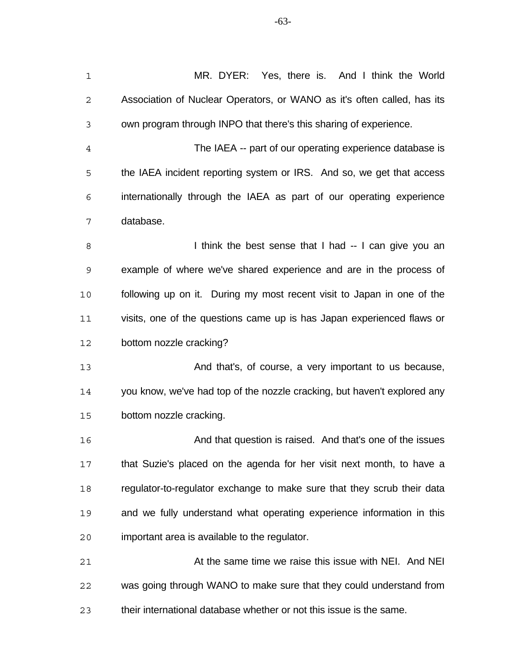| $\mathbf 1$ | MR. DYER: Yes, there is. And I think the World                           |
|-------------|--------------------------------------------------------------------------|
| $\mathbf 2$ | Association of Nuclear Operators, or WANO as it's often called, has its  |
| 3           | own program through INPO that there's this sharing of experience.        |
| 4           | The IAEA -- part of our operating experience database is                 |
| 5           | the IAEA incident reporting system or IRS. And so, we get that access    |
| 6           | internationally through the IAEA as part of our operating experience     |
| 7           | database.                                                                |
| 8           | I think the best sense that I had -- I can give you an                   |
| 9           | example of where we've shared experience and are in the process of       |
| 10          | following up on it. During my most recent visit to Japan in one of the   |
| 11          | visits, one of the questions came up is has Japan experienced flaws or   |
| 12          | bottom nozzle cracking?                                                  |
| 13          | And that's, of course, a very important to us because,                   |
| 14          | you know, we've had top of the nozzle cracking, but haven't explored any |
| 15          | bottom nozzle cracking.                                                  |
| 16          | And that question is raised. And that's one of the issues                |
| 17          | that Suzie's placed on the agenda for her visit next month, to have a    |
| 18          | regulator-to-regulator exchange to make sure that they scrub their data  |
| 19          | and we fully understand what operating experience information in this    |
| 20          | important area is available to the regulator.                            |
| 21          | At the same time we raise this issue with NEI. And NEI                   |
| 22          | was going through WANO to make sure that they could understand from      |
| 23          | their international database whether or not this issue is the same.      |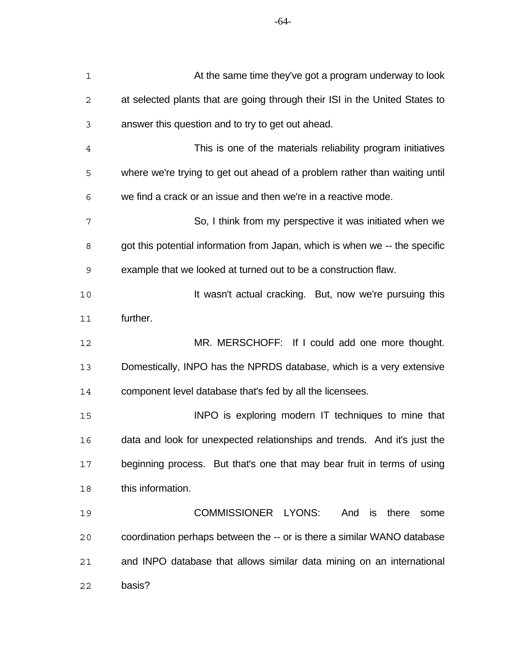| $\mathbf 1$    | At the same time they've got a program underway to look                     |
|----------------|-----------------------------------------------------------------------------|
| $\mathbf{2}$   | at selected plants that are going through their ISI in the United States to |
| 3              | answer this question and to try to get out ahead.                           |
| $\overline{4}$ | This is one of the materials reliability program initiatives                |
| 5              | where we're trying to get out ahead of a problem rather than waiting until  |
| 6              | we find a crack or an issue and then we're in a reactive mode.              |
| 7              | So, I think from my perspective it was initiated when we                    |
| 8              | got this potential information from Japan, which is when we -- the specific |
| 9              | example that we looked at turned out to be a construction flaw.             |
| 10             | It wasn't actual cracking. But, now we're pursuing this                     |
| 11             | further.                                                                    |
| 12             | MR. MERSCHOFF: If I could add one more thought.                             |
| 13             | Domestically, INPO has the NPRDS database, which is a very extensive        |
| 14             | component level database that's fed by all the licensees.                   |
| 15             | INPO is exploring modern IT techniques to mine that                         |
| 16             | data and look for unexpected relationships and trends. And it's just the    |
| 17             | beginning process. But that's one that may bear fruit in terms of using     |
| 18             | this information.                                                           |
| 19             | COMMISSIONER LYONS:<br>And is there<br>some                                 |
| 20             | coordination perhaps between the -- or is there a similar WANO database     |
| 21             | and INPO database that allows similar data mining on an international       |
| 22             | basis?                                                                      |

-64-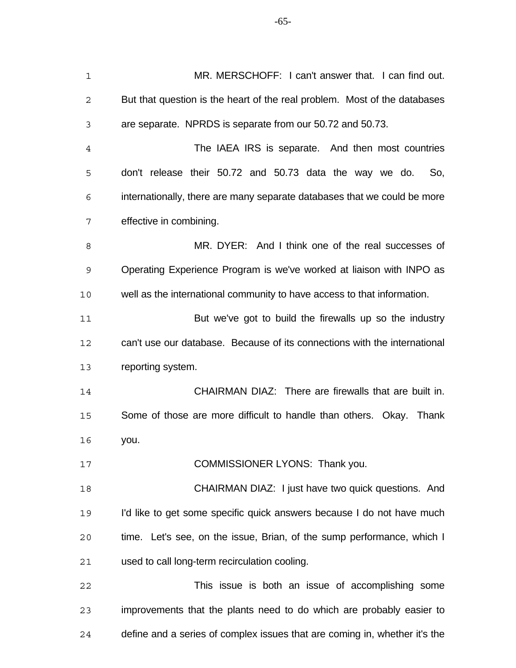MR. MERSCHOFF: I can't answer that. I can find out. But that question is the heart of the real problem. Most of the databases are separate. NPRDS is separate from our 50.72 and 50.73. The IAEA IRS is separate. And then most countries don't release their 50.72 and 50.73 data the way we do. So, internationally, there are many separate databases that we could be more effective in combining. MR. DYER: And I think one of the real successes of Operating Experience Program is we've worked at liaison with INPO as well as the international community to have access to that information. But we've got to build the firewalls up so the industry can't use our database. Because of its connections with the international reporting system. CHAIRMAN DIAZ: There are firewalls that are built in. Some of those are more difficult to handle than others. Okay. Thank you. 17 COMMISSIONER LYONS: Thank you. CHAIRMAN DIAZ: I just have two quick questions. And I'd like to get some specific quick answers because I do not have much time. Let's see, on the issue, Brian, of the sump performance, which I used to call long-term recirculation cooling. This issue is both an issue of accomplishing some improvements that the plants need to do which are probably easier to define and a series of complex issues that are coming in, whether it's the

-65-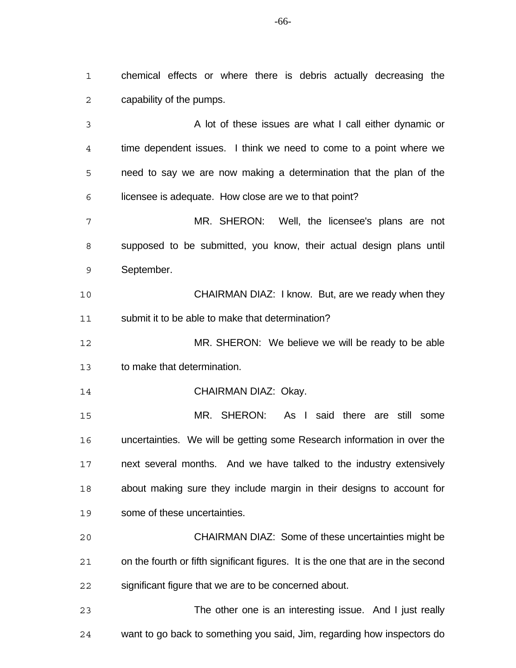chemical effects or where there is debris actually decreasing the capability of the pumps.

 A lot of these issues are what I call either dynamic or time dependent issues. I think we need to come to a point where we need to say we are now making a determination that the plan of the licensee is adequate. How close are we to that point?

 MR. SHERON: Well, the licensee's plans are not supposed to be submitted, you know, their actual design plans until September.

 CHAIRMAN DIAZ: I know. But, are we ready when they submit it to be able to make that determination?

 MR. SHERON: We believe we will be ready to be able to make that determination.

CHAIRMAN DIAZ: Okay.

 MR. SHERON: As I said there are still some uncertainties. We will be getting some Research information in over the next several months. And we have talked to the industry extensively about making sure they include margin in their designs to account for some of these uncertainties.

 CHAIRMAN DIAZ: Some of these uncertainties might be on the fourth or fifth significant figures. It is the one that are in the second significant figure that we are to be concerned about.

 The other one is an interesting issue. And I just really want to go back to something you said, Jim, regarding how inspectors do

-66-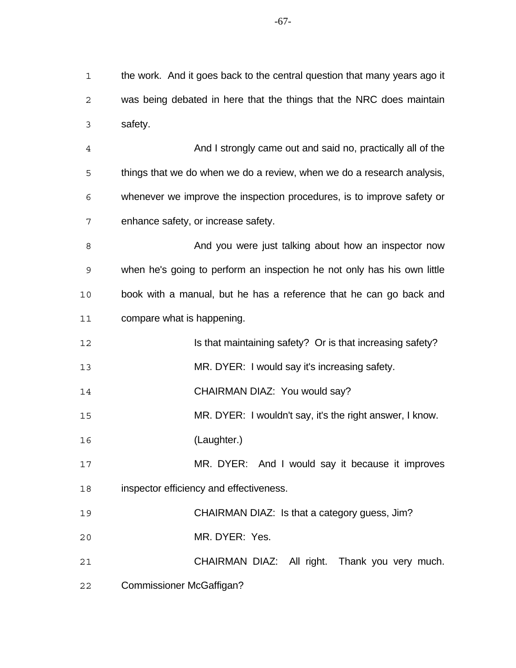the work. And it goes back to the central question that many years ago it was being debated in here that the things that the NRC does maintain safety.

 And I strongly came out and said no, practically all of the things that we do when we do a review, when we do a research analysis, whenever we improve the inspection procedures, is to improve safety or enhance safety, or increase safety.

8 And you were just talking about how an inspector now when he's going to perform an inspection he not only has his own little book with a manual, but he has a reference that he can go back and compare what is happening.

**Is that maintaining safety?** Or is that increasing safety?

MR. DYER: I would say it's increasing safety.

14 CHAIRMAN DIAZ: You would say?

MR. DYER: I wouldn't say, it's the right answer, I know.

(Laughter.)

 MR. DYER: And I would say it because it improves inspector efficiency and effectiveness.

CHAIRMAN DIAZ: Is that a category guess, Jim?

MR. DYER: Yes.

CHAIRMAN DIAZ: All right. Thank you very much.

Commissioner McGaffigan?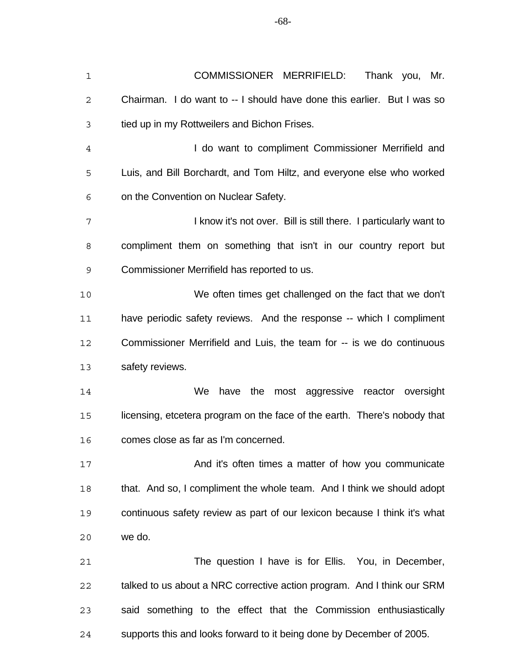| $\mathbf 1$    | COMMISSIONER MERRIFIELD:<br>Thank you, Mr.                                |
|----------------|---------------------------------------------------------------------------|
| 2              | Chairman. I do want to -- I should have done this earlier. But I was so   |
| 3              | tied up in my Rottweilers and Bichon Frises.                              |
| $\overline{4}$ | I do want to compliment Commissioner Merrifield and                       |
| 5              | Luis, and Bill Borchardt, and Tom Hiltz, and everyone else who worked     |
| 6              | on the Convention on Nuclear Safety.                                      |
| 7              | I know it's not over. Bill is still there. I particularly want to         |
| 8              | compliment them on something that isn't in our country report but         |
| 9              | Commissioner Merrifield has reported to us.                               |
| 10             | We often times get challenged on the fact that we don't                   |
| 11             | have periodic safety reviews. And the response -- which I compliment      |
| 12             | Commissioner Merrifield and Luis, the team for -- is we do continuous     |
| 13             | safety reviews.                                                           |
| 14             | have the most aggressive reactor oversight<br>We                          |
| 15             | licensing, etcetera program on the face of the earth. There's nobody that |
| 16             | comes close as far as I'm concerned.                                      |
| 17             | And it's often times a matter of how you communicate                      |
| 18             | that. And so, I compliment the whole team. And I think we should adopt    |
| 19             | continuous safety review as part of our lexicon because I think it's what |
| 20             | we do.                                                                    |
| 21             | The question I have is for Ellis. You, in December,                       |
| 22             | talked to us about a NRC corrective action program. And I think our SRM   |
| 23             | said something to the effect that the Commission enthusiastically         |
| 24             | supports this and looks forward to it being done by December of 2005.     |

-68-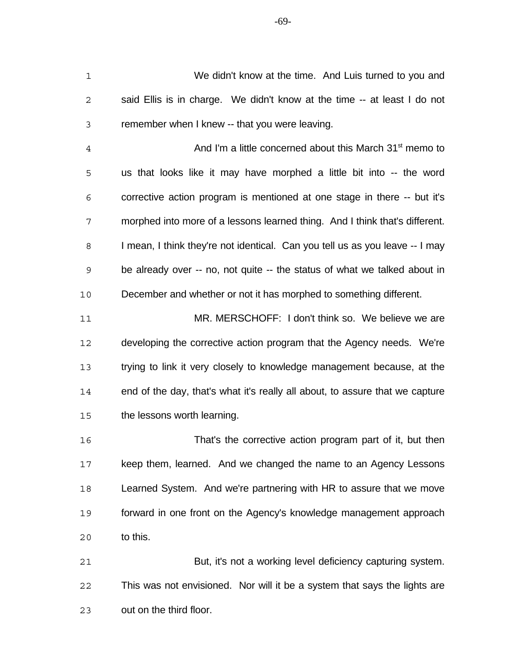We didn't know at the time. And Luis turned to you and said Ellis is in charge. We didn't know at the time -- at least I do not remember when I knew -- that you were leaving.

4 And I'm a little concerned about this March 31<sup>st</sup> memo to us that looks like it may have morphed a little bit into -- the word corrective action program is mentioned at one stage in there -- but it's morphed into more of a lessons learned thing. And I think that's different. I mean, I think they're not identical. Can you tell us as you leave -- I may be already over -- no, not quite -- the status of what we talked about in December and whether or not it has morphed to something different.

 MR. MERSCHOFF: I don't think so. We believe we are developing the corrective action program that the Agency needs. We're trying to link it very closely to knowledge management because, at the end of the day, that's what it's really all about, to assure that we capture the lessons worth learning.

 That's the corrective action program part of it, but then keep them, learned. And we changed the name to an Agency Lessons Learned System. And we're partnering with HR to assure that we move forward in one front on the Agency's knowledge management approach to this.

 But, it's not a working level deficiency capturing system. This was not envisioned. Nor will it be a system that says the lights are out on the third floor.

-69-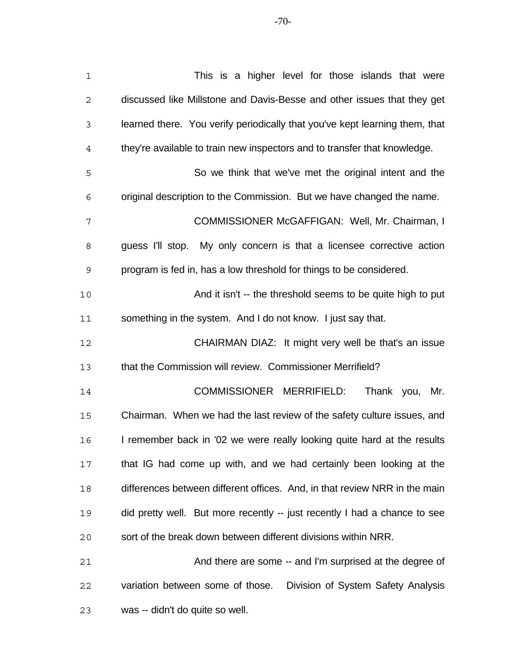-70-

| $\mathbf 1$    | This is a higher level for those islands that were                          |
|----------------|-----------------------------------------------------------------------------|
| $\mathbf 2$    | discussed like Millstone and Davis-Besse and other issues that they get     |
| 3              | learned there. You verify periodically that you've kept learning them, that |
| $\overline{4}$ | they're available to train new inspectors and to transfer that knowledge.   |
| 5              | So we think that we've met the original intent and the                      |
| 6              | original description to the Commission. But we have changed the name.       |
| 7              | COMMISSIONER McGAFFIGAN: Well, Mr. Chairman, I                              |
| 8              | guess I'll stop. My only concern is that a licensee corrective action       |
| 9              | program is fed in, has a low threshold for things to be considered.         |
| 10             | And it isn't -- the threshold seems to be quite high to put                 |
| 11             | something in the system. And I do not know. I just say that.                |
| 12             | CHAIRMAN DIAZ: It might very well be that's an issue                        |
| 13             | that the Commission will review. Commissioner Merrifield?                   |
| 14             | COMMISSIONER MERRIFIELD:<br>Thank you,<br>Mr.                               |
| 15             | Chairman. When we had the last review of the safety culture issues, and     |
| 16             | I remember back in '02 we were really looking quite hard at the results     |
| 17             | that IG had come up with, and we had certainly been looking at the          |
| 18             | differences between different offices. And, in that review NRR in the main  |
| 19             | did pretty well. But more recently -- just recently I had a chance to see   |
| 20             | sort of the break down between different divisions within NRR.              |
| 21             | And there are some -- and I'm surprised at the degree of                    |
| 22             | variation between some of those.<br>Division of System Safety Analysis      |
| 23             | was -- didn't do quite so well.                                             |
|                |                                                                             |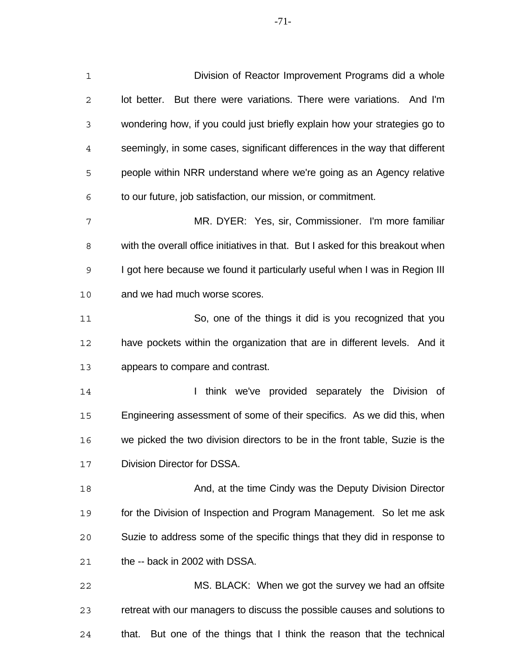Division of Reactor Improvement Programs did a whole lot better. But there were variations. There were variations. And I'm wondering how, if you could just briefly explain how your strategies go to seemingly, in some cases, significant differences in the way that different people within NRR understand where we're going as an Agency relative to our future, job satisfaction, our mission, or commitment. MR. DYER: Yes, sir, Commissioner. I'm more familiar with the overall office initiatives in that. But I asked for this breakout when I got here because we found it particularly useful when I was in Region III and we had much worse scores. So, one of the things it did is you recognized that you have pockets within the organization that are in different levels. And it appears to compare and contrast. **I think we've provided separately the Division of**  Engineering assessment of some of their specifics. As we did this, when we picked the two division directors to be in the front table, Suzie is the Division Director for DSSA.

 And, at the time Cindy was the Deputy Division Director for the Division of Inspection and Program Management. So let me ask Suzie to address some of the specific things that they did in response to the -- back in 2002 with DSSA.

 MS. BLACK: When we got the survey we had an offsite retreat with our managers to discuss the possible causes and solutions to that. But one of the things that I think the reason that the technical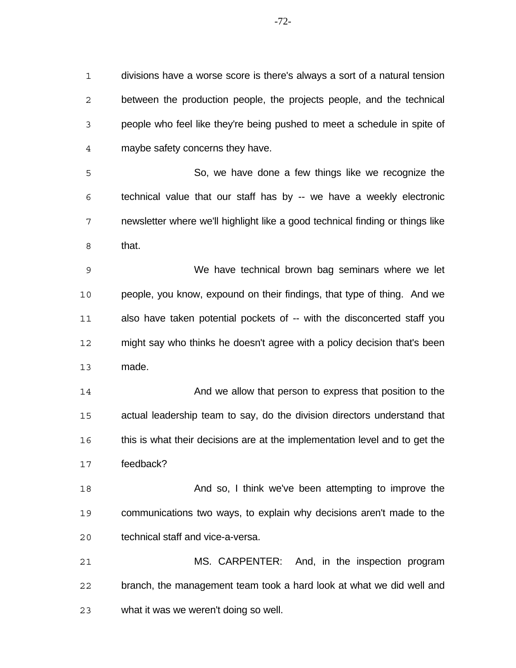divisions have a worse score is there's always a sort of a natural tension between the production people, the projects people, and the technical people who feel like they're being pushed to meet a schedule in spite of maybe safety concerns they have.

 So, we have done a few things like we recognize the technical value that our staff has by -- we have a weekly electronic newsletter where we'll highlight like a good technical finding or things like that.

 We have technical brown bag seminars where we let people, you know, expound on their findings, that type of thing. And we also have taken potential pockets of -- with the disconcerted staff you might say who thinks he doesn't agree with a policy decision that's been made.

 And we allow that person to express that position to the actual leadership team to say, do the division directors understand that this is what their decisions are at the implementation level and to get the feedback?

 And so, I think we've been attempting to improve the communications two ways, to explain why decisions aren't made to the technical staff and vice-a-versa.

 MS. CARPENTER: And, in the inspection program branch, the management team took a hard look at what we did well and what it was we weren't doing so well.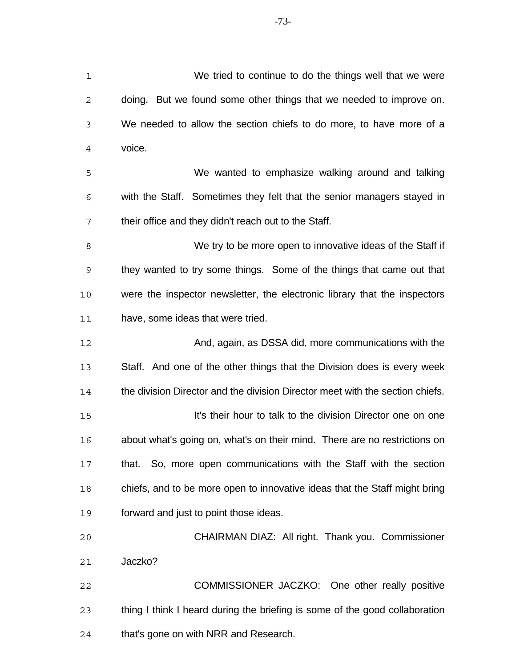We tried to continue to do the things well that we were doing. But we found some other things that we needed to improve on. We needed to allow the section chiefs to do more, to have more of a voice. We wanted to emphasize walking around and talking with the Staff. Sometimes they felt that the senior managers stayed in their office and they didn't reach out to the Staff. 8 We try to be more open to innovative ideas of the Staff if they wanted to try some things. Some of the things that came out that were the inspector newsletter, the electronic library that the inspectors have, some ideas that were tried. **And, again, as DSSA did, more communications with the**  Staff. And one of the other things that the Division does is every week the division Director and the division Director meet with the section chiefs. It's their hour to talk to the division Director one on one about what's going on, what's on their mind. There are no restrictions on that. So, more open communications with the Staff with the section chiefs, and to be more open to innovative ideas that the Staff might bring forward and just to point those ideas. CHAIRMAN DIAZ: All right. Thank you. Commissioner Jaczko? COMMISSIONER JACZKO: One other really positive thing I think I heard during the briefing is some of the good collaboration

that's gone on with NRR and Research.

-73-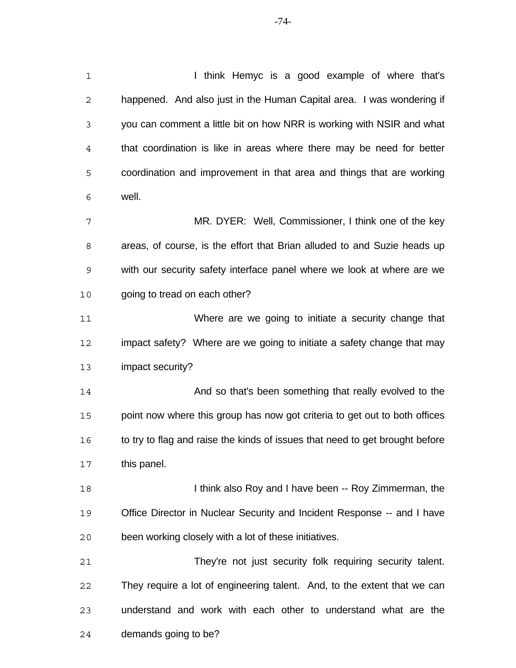| $\mathbf 1$    | I think Hemyc is a good example of where that's                              |
|----------------|------------------------------------------------------------------------------|
| $\mathbf{2}$   | happened. And also just in the Human Capital area. I was wondering if        |
| 3              | you can comment a little bit on how NRR is working with NSIR and what        |
| $\overline{4}$ | that coordination is like in areas where there may be need for better        |
| 5              | coordination and improvement in that area and things that are working        |
| 6              | well.                                                                        |
| 7              | MR. DYER: Well, Commissioner, I think one of the key                         |
| 8              | areas, of course, is the effort that Brian alluded to and Suzie heads up     |
| 9              | with our security safety interface panel where we look at where are we       |
| 10             | going to tread on each other?                                                |
| 11             | Where are we going to initiate a security change that                        |
| 12             | impact safety? Where are we going to initiate a safety change that may       |
| 13             | impact security?                                                             |
| 14             | And so that's been something that really evolved to the                      |
| 15             | point now where this group has now got criteria to get out to both offices   |
| 16             | to try to flag and raise the kinds of issues that need to get brought before |
| 17             | this panel.                                                                  |
| 18             | I think also Roy and I have been -- Roy Zimmerman, the                       |
| 19             | Office Director in Nuclear Security and Incident Response -- and I have      |
| 20             | been working closely with a lot of these initiatives.                        |
| 21             | They're not just security folk requiring security talent.                    |
| 22             | They require a lot of engineering talent. And, to the extent that we can     |
| 23             | understand and work with each other to understand what are the               |
| 24             | demands going to be?                                                         |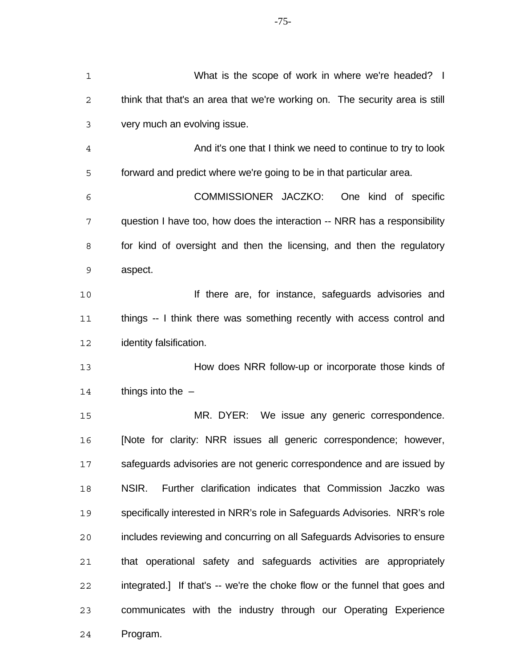| $\mathbf 1$    | What is the scope of work in where we're headed? I                          |
|----------------|-----------------------------------------------------------------------------|
| $\mathbf{2}$   | think that that's an area that we're working on. The security area is still |
| 3              | very much an evolving issue.                                                |
| $\overline{4}$ | And it's one that I think we need to continue to try to look                |
| 5              | forward and predict where we're going to be in that particular area.        |
| 6              | COMMISSIONER JACZKO:<br>One kind of specific                                |
| 7              | question I have too, how does the interaction -- NRR has a responsibility   |
| 8              | for kind of oversight and then the licensing, and then the regulatory       |
| $\mathsf 9$    | aspect.                                                                     |
| 10             | If there are, for instance, safeguards advisories and                       |
| 11             | things -- I think there was something recently with access control and      |
| 12             | identity falsification.                                                     |
| 13             | How does NRR follow-up or incorporate those kinds of                        |
| 14             | things into the $-$                                                         |
| 15             | MR. DYER: We issue any generic correspondence.                              |
| 16             | [Note for clarity: NRR issues all generic correspondence; however,          |
| 17             | safeguards advisories are not generic correspondence and are issued by      |
| 18             |                                                                             |
|                | Further clarification indicates that Commission Jaczko was<br>NSIR.         |
| 19             | specifically interested in NRR's role in Safeguards Advisories. NRR's role  |
| 20             | includes reviewing and concurring on all Safeguards Advisories to ensure    |
| 21             | that operational safety and safeguards activities are appropriately         |
| 22             | integrated.] If that's -- we're the choke flow or the funnel that goes and  |
| 23             | communicates with the industry through our Operating Experience             |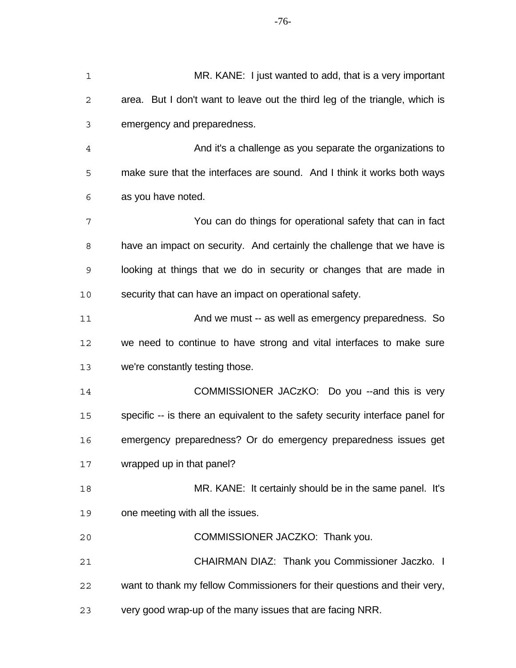| $\mathbf 1$ | MR. KANE: I just wanted to add, that is a very important                      |
|-------------|-------------------------------------------------------------------------------|
| 2           | area. But I don't want to leave out the third leg of the triangle, which is   |
| 3           | emergency and preparedness.                                                   |
| 4           | And it's a challenge as you separate the organizations to                     |
| 5           | make sure that the interfaces are sound. And I think it works both ways       |
| 6           | as you have noted.                                                            |
| 7           | You can do things for operational safety that can in fact                     |
| 8           | have an impact on security. And certainly the challenge that we have is       |
| 9           | looking at things that we do in security or changes that are made in          |
| 10          | security that can have an impact on operational safety.                       |
| 11          | And we must -- as well as emergency preparedness. So                          |
| 12          | we need to continue to have strong and vital interfaces to make sure          |
| 13          | we're constantly testing those.                                               |
| 14          | COMMISSIONER JACzKO: Do you -- and this is very                               |
| 15          | specific -- is there an equivalent to the safety security interface panel for |
| 16          | emergency preparedness? Or do emergency preparedness issues get               |
| 17          | wrapped up in that panel?                                                     |
| 18          | MR. KANE: It certainly should be in the same panel. It's                      |
| 19          | one meeting with all the issues.                                              |
| 20          | COMMISSIONER JACZKO: Thank you.                                               |
| 21          | CHAIRMAN DIAZ: Thank you Commissioner Jaczko. I                               |
| 22          | want to thank my fellow Commissioners for their questions and their very,     |
| 23          | very good wrap-up of the many issues that are facing NRR.                     |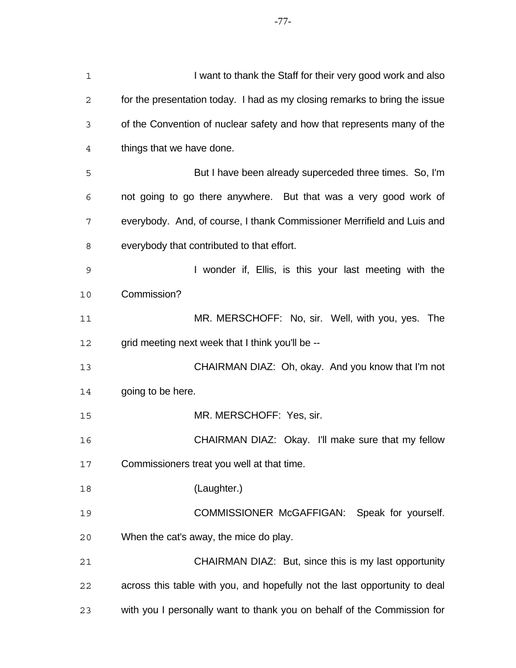| 1  | I want to thank the Staff for their very good work and also                |
|----|----------------------------------------------------------------------------|
| 2  | for the presentation today. I had as my closing remarks to bring the issue |
| 3  | of the Convention of nuclear safety and how that represents many of the    |
| 4  | things that we have done.                                                  |
| 5  | But I have been already superceded three times. So, I'm                    |
| 6  | not going to go there anywhere. But that was a very good work of           |
| 7  | everybody. And, of course, I thank Commissioner Merrifield and Luis and    |
| 8  | everybody that contributed to that effort.                                 |
| 9  | I wonder if, Ellis, is this your last meeting with the                     |
| 10 | Commission?                                                                |
| 11 | MR. MERSCHOFF: No, sir. Well, with you, yes. The                           |
| 12 | grid meeting next week that I think you'll be --                           |
| 13 | CHAIRMAN DIAZ: Oh, okay. And you know that I'm not                         |
| 14 | going to be here.                                                          |
| 15 | MR. MERSCHOFF: Yes, sir.                                                   |
| 16 | CHAIRMAN DIAZ: Okay. I'll make sure that my fellow                         |
| 17 | Commissioners treat you well at that time.                                 |
| 18 | (Laughter.)                                                                |
| 19 | COMMISSIONER McGAFFIGAN: Speak for yourself.                               |
| 20 | When the cat's away, the mice do play.                                     |
| 21 | CHAIRMAN DIAZ: But, since this is my last opportunity                      |
| 22 | across this table with you, and hopefully not the last opportunity to deal |
| 23 | with you I personally want to thank you on behalf of the Commission for    |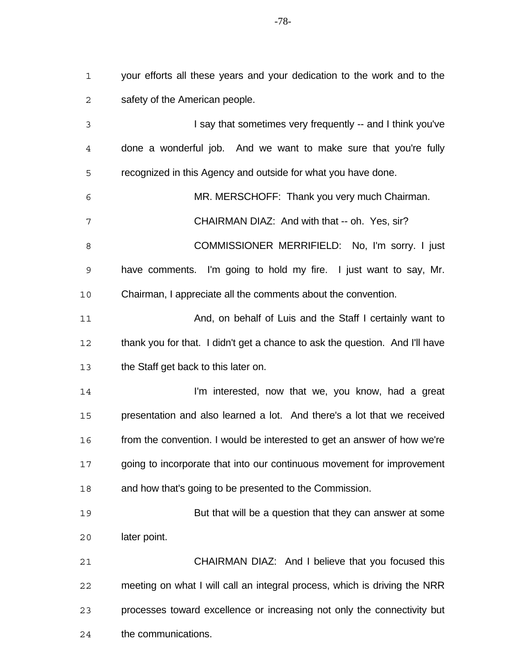your efforts all these years and your dedication to the work and to the safety of the American people.

 I say that sometimes very frequently -- and I think you've done a wonderful job. And we want to make sure that you're fully recognized in this Agency and outside for what you have done. MR. MERSCHOFF: Thank you very much Chairman. CHAIRMAN DIAZ: And with that -- oh. Yes, sir? 8 COMMISSIONER MERRIFIELD: No, I'm sorry. I just have comments. I'm going to hold my fire. I just want to say, Mr. Chairman, I appreciate all the comments about the convention. 11 And, on behalf of Luis and the Staff I certainly want to thank you for that. I didn't get a chance to ask the question. And I'll have the Staff get back to this later on. **I'm interested, now that we, you know, had a great**  presentation and also learned a lot. And there's a lot that we received from the convention. I would be interested to get an answer of how we're going to incorporate that into our continuous movement for improvement and how that's going to be presented to the Commission. But that will be a question that they can answer at some later point. CHAIRMAN DIAZ: And I believe that you focused this meeting on what I will call an integral process, which is driving the NRR processes toward excellence or increasing not only the connectivity but

the communications.